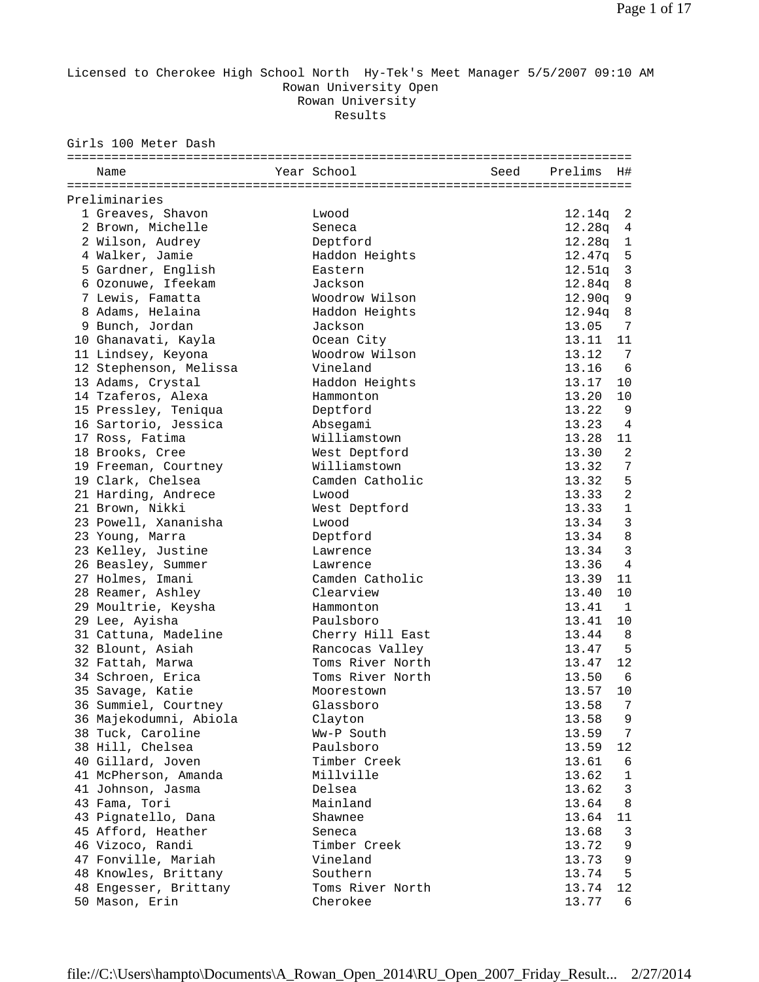## Licensed to Cherokee High School North Hy-Tek's Meet Manager 5/5/2007 09:10 AM Rowan University Open Rowan University Results

Girls 100 Meter Dash

| Name                   | Year School      | Seed | Prelims  | H#             |
|------------------------|------------------|------|----------|----------------|
|                        |                  |      |          |                |
| Preliminaries          |                  |      |          |                |
| 1 Greaves, Shavon      | Lwood            |      | 12.14q   | 2              |
| 2 Brown, Michelle      | Seneca           |      | 12.28q   | 4              |
| 2 Wilson, Audrey       | Deptford         |      | 12.28q   | $\mathbf 1$    |
| 4 Walker, Jamie        | Haddon Heights   |      | 12.47q   | 5              |
| 5 Gardner, English     | Eastern          |      | 12.51q   | $\overline{3}$ |
| 6 Ozonuwe, Ifeekam     | Jackson          |      | 12.84q 8 |                |
| 7 Lewis, Famatta       | Woodrow Wilson   |      | 12.90q   | $\mathsf 9$    |
| 8 Adams, Helaina       | Haddon Heights   |      | 12.94q   | 8              |
| 9 Bunch, Jordan        | Jackson          |      | 13.05    | 7              |
| 10 Ghanavati, Kayla    | Ocean City       |      | 13.11    | 11             |
| 11 Lindsey, Keyona     | Woodrow Wilson   |      | 13.12    | 7              |
| 12 Stephenson, Melissa | Vineland         |      | 13.16    | 6              |
| 13 Adams, Crystal      | Haddon Heights   |      | 13.17    | 10             |
| 14 Tzaferos, Alexa     | Hammonton        |      | 13.20    | 10             |
| 15 Pressley, Teniqua   | Deptford         |      | 13.22    | 9              |
| 16 Sartorio, Jessica   | Absegami         |      | 13.23    | $\overline{4}$ |
| 17 Ross, Fatima        | Williamstown     |      | 13.28    | 11             |
| 18 Brooks, Cree        | West Deptford    |      | 13.30    | $\overline{a}$ |
| 19 Freeman, Courtney   | Williamstown     |      | 13.32    | 7              |
| 19 Clark, Chelsea      | Camden Catholic  |      | 13.32    | 5              |
| 21 Harding, Andrece    | Lwood            |      | 13.33    | $\overline{2}$ |
| 21 Brown, Nikki        | West Deptford    |      | 13.33    | $\mathbf 1$    |
| 23 Powell, Xananisha   | Lwood            |      | 13.34    | 3              |
| 23 Young, Marra        | Deptford         |      | 13.34    | $\,8\,$        |
| 23 Kelley, Justine     | Lawrence         |      | 13.34    | $\overline{3}$ |
| 26 Beasley, Summer     | Lawrence         |      | 13.36    | $\overline{4}$ |
| 27 Holmes, Imani       | Camden Catholic  |      | 13.39    | 11             |
| 28 Reamer, Ashley      | Clearview        |      | 13.40    | 10             |
| 29 Moultrie, Keysha    | Hammonton        |      | 13.41    | $\mathbf{1}$   |
| 29 Lee, Ayisha         | Paulsboro        |      | 13.41    | 10             |
| 31 Cattuna, Madeline   | Cherry Hill East |      | 13.44    | 8              |
| 32 Blount, Asiah       | Rancocas Valley  |      | 13.47    | 5              |
| 32 Fattah, Marwa       | Toms River North |      | 13.47    | 12             |
| 34 Schroen, Erica      | Toms River North |      | 13.50    | - 6            |
| 35 Savage, Katie       | Moorestown       |      | 13.57    | 10             |
| 36 Summiel, Courtney   | Glassboro        |      | 13.58    | $\overline{7}$ |
| 36 Majekodumni, Abiola | Clayton          |      | 13.58    | 9              |
| 38 Tuck, Caroline      | Ww-P South       |      | 13.59    | 7              |
| 38 Hill, Chelsea       | Paulsboro        |      | 13.59    | 12             |
| 40 Gillard, Joven      | Timber Creek     |      | 13.61    | 6              |
| 41 McPherson, Amanda   | Millville        |      | 13.62    | 1              |
| 41 Johnson, Jasma      | Delsea           |      | 13.62    | 3              |
| 43 Fama, Tori          | Mainland         |      | 13.64    | 8              |
| 43 Pignatello, Dana    | Shawnee          |      | 13.64    | 11             |
| 45 Afford, Heather     | Seneca           |      | 13.68    | 3              |
| 46 Vizoco, Randi       | Timber Creek     |      | 13.72    | 9              |
| 47 Fonville, Mariah    | Vineland         |      | 13.73    | 9              |
| 48 Knowles, Brittany   | Southern         |      | 13.74    | 5              |
| 48 Engesser, Brittany  | Toms River North |      | 13.74    | 12             |
| 50 Mason, Erin         | Cherokee         |      | 13.77    | 6              |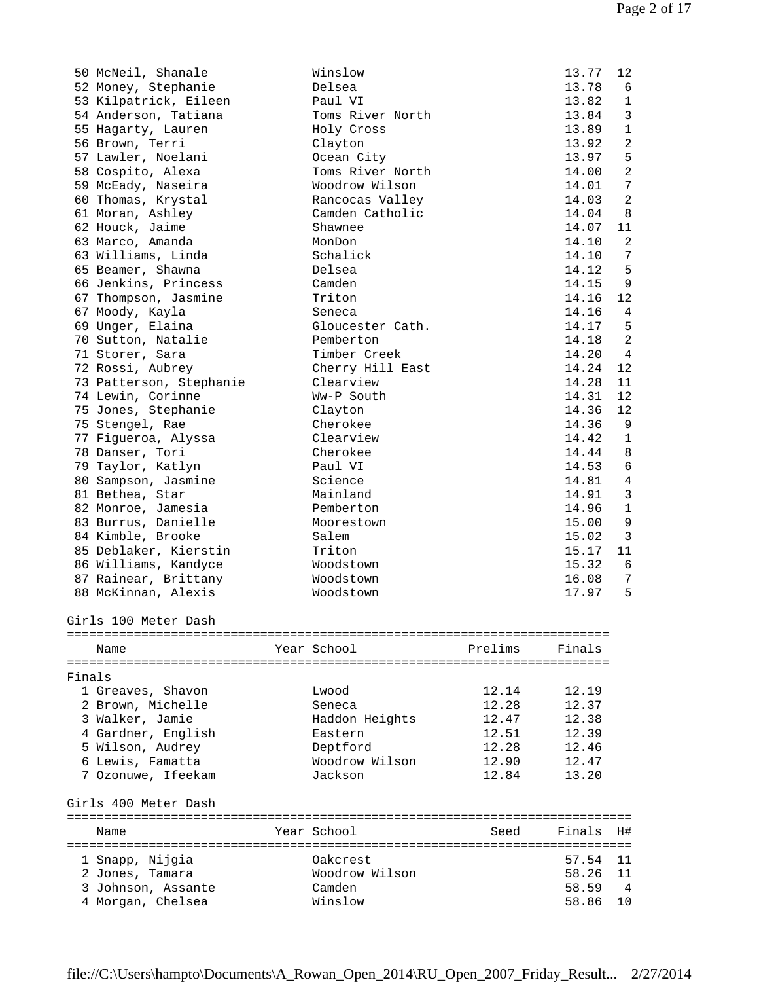|        | 50 McNeil, Shanale      | Winslow          |         | 13.77  | 12             |
|--------|-------------------------|------------------|---------|--------|----------------|
|        | 52 Money, Stephanie     | Delsea           |         | 13.78  | 6              |
|        | 53 Kilpatrick, Eileen   | Paul VI          |         | 13.82  | $\mathbf{1}$   |
|        | 54 Anderson, Tatiana    | Toms River North |         | 13.84  | 3              |
|        | 55 Hagarty, Lauren      | Holy Cross       |         | 13.89  | $\mathbf{1}$   |
|        | 56 Brown, Terri         | Clayton          |         | 13.92  | $\overline{2}$ |
|        | 57 Lawler, Noelani      | Ocean City       |         | 13.97  | 5              |
|        | 58 Cospito, Alexa       | Toms River North |         | 14.00  | $\overline{2}$ |
|        | 59 McEady, Naseira      | Woodrow Wilson   |         | 14.01  | 7              |
|        | 60 Thomas, Krystal      | Rancocas Valley  |         | 14.03  | $\overline{2}$ |
|        | 61 Moran, Ashley        | Camden Catholic  |         | 14.04  | 8              |
|        | 62 Houck, Jaime         | Shawnee          |         | 14.07  | 11             |
|        | 63 Marco, Amanda        | MonDon           |         | 14.10  | 2              |
|        | 63 Williams, Linda      | Schalick         |         | 14.10  | 7              |
|        | 65 Beamer, Shawna       | Delsea           |         | 14.12  | 5              |
|        | 66 Jenkins, Princess    | Camden           |         | 14.15  | $\,9$          |
|        | 67 Thompson, Jasmine    | Triton           |         | 14.16  | 12             |
|        | 67 Moody, Kayla         | Seneca           |         | 14.16  | 4              |
|        | 69 Unger, Elaina        | Gloucester Cath. |         | 14.17  | 5              |
|        | 70 Sutton, Natalie      | Pemberton        |         | 14.18  | $\sqrt{2}$     |
|        |                         | Timber Creek     |         | 14.20  | $\overline{4}$ |
|        | 71 Storer, Sara         |                  |         |        |                |
|        | 72 Rossi, Aubrey        | Cherry Hill East |         | 14.24  | 12             |
|        | 73 Patterson, Stephanie | Clearview        |         | 14.28  | 11             |
|        | 74 Lewin, Corinne       | Ww-P South       |         | 14.31  | 12             |
|        | 75 Jones, Stephanie     | Clayton          |         | 14.36  | 12             |
|        | 75 Stengel, Rae         | Cherokee         |         | 14.36  | 9              |
|        | 77 Figueroa, Alyssa     | Clearview        |         | 14.42  | $\mathbf{1}$   |
|        | 78 Danser, Tori         | Cherokee         |         | 14.44  | 8              |
|        | 79 Taylor, Katlyn       | Paul VI          |         | 14.53  | 6              |
|        | 80 Sampson, Jasmine     | Science          |         | 14.81  | $\overline{4}$ |
|        | 81 Bethea, Star         | Mainland         |         | 14.91  | $\mathfrak{Z}$ |
|        | 82 Monroe, Jamesia      | Pemberton        |         | 14.96  | $\mathbf 1$    |
|        | 83 Burrus, Danielle     | Moorestown       |         | 15.00  | $\,9$          |
|        | 84 Kimble, Brooke       | Salem            |         | 15.02  | $\overline{3}$ |
|        | 85 Deblaker, Kierstin   | Triton           |         | 15.17  | 11             |
|        | 86 Williams, Kandyce    | Woodstown        |         | 15.32  | 6              |
|        | 87 Rainear, Brittany    | Woodstown        |         | 16.08  | 7              |
|        | 88 McKinnan, Alexis     | Woodstown        |         | 17.97  | 5              |
|        |                         |                  |         |        |                |
|        | Girls 100 Meter Dash    |                  |         |        |                |
|        |                         |                  |         |        |                |
|        | Name                    | Year School      | Prelims | Finals |                |
|        |                         |                  |         |        |                |
| Finals |                         |                  |         |        |                |
|        | 1 Greaves, Shavon       | Lwood            | 12.14   | 12.19  |                |
|        | 2 Brown, Michelle       | Seneca           | 12.28   | 12.37  |                |
|        | 3 Walker, Jamie         | Haddon Heights   | 12.47   | 12.38  |                |
|        | 4 Gardner, English      | Eastern          | 12.51   | 12.39  |                |
|        | 5 Wilson, Audrey        | Deptford         | 12.28   | 12.46  |                |
|        | 6 Lewis, Famatta        | Woodrow Wilson   | 12.90   | 12.47  |                |
|        | 7 Ozonuwe, Ifeekam      | Jackson          | 12.84   | 13.20  |                |
|        |                         |                  |         |        |                |
|        | Girls 400 Meter Dash    |                  |         |        |                |
|        | Name                    | Year School      | Seed    | Finals | H#             |
|        |                         |                  |         |        |                |
|        | 1 Snapp, Nijgia         | Oakcrest         |         | 57.54  | 11             |
|        | 2 Jones, Tamara         | Woodrow Wilson   |         | 58.26  | 11             |
|        | 3 Johnson, Assante      | Camden           |         | 58.59  | 4              |
|        | 4 Morgan, Chelsea       | Winslow          |         | 58.86  | 10             |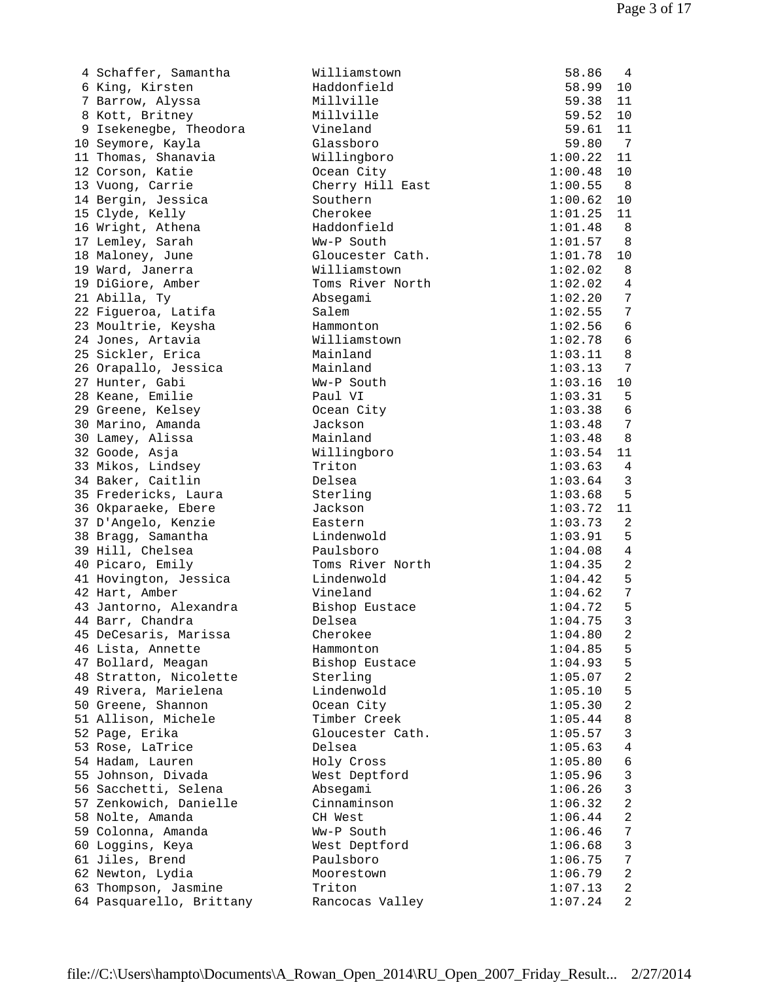| 4 Schaffer, Samantha     | Williamstown     | 58.86   | 4               |
|--------------------------|------------------|---------|-----------------|
| 6 King, Kirsten          | Haddonfield      | 58.99   | 10              |
| 7 Barrow, Alyssa         | Millville        | 59.38   | 11              |
| 8 Kott, Britney          | Millville        | 59.52   | 10              |
| 9 Isekenegbe, Theodora   | Vineland         | 59.61   | 11              |
| 10 Seymore, Kayla        | Glassboro        | 59.80   | $\overline{7}$  |
| 11 Thomas, Shanavia      | Willingboro      | 1:00.22 | 11              |
| 12 Corson, Katie         | Ocean City       | 1:00.48 | 10              |
| 13 Vuong, Carrie         | Cherry Hill East | 1:00.55 | - 8             |
|                          |                  |         |                 |
| 14 Bergin, Jessica       | Southern         | 1:00.62 | 10              |
| 15 Clyde, Kelly          | Cherokee         | 1:01.25 | 11              |
| 16 Wright, Athena        | Haddonfield      | 1:01.48 | 8               |
| 17 Lemley, Sarah         | Ww-P South       | 1:01.57 | 8               |
| 18 Maloney, June         | Gloucester Cath. | 1:01.78 | 10              |
| 19 Ward, Janerra         | Williamstown     | 1:02.02 | 8               |
| 19 DiGiore, Amber        | Toms River North | 1:02.02 | $\overline{4}$  |
| 21 Abilla, Ty            | Absegami         | 1:02.20 | 7               |
| 22 Figueroa, Latifa      | Salem            | 1:02.55 | 7               |
| 23 Moultrie, Keysha      | Hammonton        | 1:02.56 | 6               |
| 24 Jones, Artavia        | Williamstown     | 1:02.78 | $6\phantom{1}6$ |
| 25 Sickler, Erica        | Mainland         | 1:03.11 | 8               |
|                          | Mainland         |         | 7               |
| 26 Orapallo, Jessica     |                  | 1:03.13 |                 |
| 27 Hunter, Gabi          | Ww-P South       | 1:03.16 | 10              |
| 28 Keane, Emilie         | Paul VI          | 1:03.31 | 5               |
| 29 Greene, Kelsey        | Ocean City       | 1:03.38 | 6               |
| 30 Marino, Amanda        | Jackson          | 1:03.48 | 7               |
| 30 Lamey, Alissa         | Mainland         | 1:03.48 | 8               |
| 32 Goode, Asja           | Willingboro      | 1:03.54 | 11              |
| 33 Mikos, Lindsey        | Triton           | 1:03.63 | $\sqrt{4}$      |
| 34 Baker, Caitlin        | Delsea           | 1:03.64 | 3               |
| 35 Fredericks, Laura     | Sterling         | 1:03.68 | 5               |
| 36 Okparaeke, Ebere      | Jackson          | 1:03.72 | 11              |
| 37 D'Angelo, Kenzie      | Eastern          | 1:03.73 | $\overline{2}$  |
| 38 Bragg, Samantha       | Lindenwold       | 1:03.91 | 5               |
|                          |                  |         |                 |
| 39 Hill, Chelsea         | Paulsboro        | 1:04.08 | $\overline{4}$  |
| 40 Picaro, Emily         | Toms River North | 1:04.35 | $\overline{2}$  |
| 41 Hovington, Jessica    | Lindenwold       | 1:04.42 | 5               |
| 42 Hart, Amber           | Vineland         | 1:04.62 | 7               |
| 43 Jantorno, Alexandra   | Bishop Eustace   | 1:04.72 | 5               |
| 44 Barr, Chandra         | Delsea           | 1:04.75 | 3               |
| 45 DeCesaris, Marissa    | Cherokee         | 1:04.80 | 2               |
| 46 Lista, Annette        | Hammonton        | 1:04.85 | 5               |
| 47 Bollard, Meagan       | Bishop Eustace   | 1:04.93 | 5               |
| 48 Stratton, Nicolette   | Sterling         | 1:05.07 | 2               |
| 49 Rivera, Marielena     | Lindenwold       | 1:05.10 | 5               |
| 50 Greene, Shannon       | Ocean City       | 1:05.30 | $\overline{c}$  |
| 51 Allison, Michele      | Timber Creek     | 1:05.44 | 8               |
|                          | Gloucester Cath. |         |                 |
| 52 Page, Erika           |                  | 1:05.57 | 3               |
| 53 Rose, LaTrice         | Delsea           | 1:05.63 | 4               |
| 54 Hadam, Lauren         | Holy Cross       | 1:05.80 | 6               |
| 55 Johnson, Divada       | West Deptford    | 1:05.96 | $\mathfrak{Z}$  |
| 56 Sacchetti, Selena     | Absegami         | 1:06.26 | 3               |
| 57 Zenkowich, Danielle   | Cinnaminson      | 1:06.32 | 2               |
| 58 Nolte, Amanda         | CH West          | 1:06.44 | 2               |
| 59 Colonna, Amanda       | Ww-P South       | 1:06.46 | 7               |
| 60 Loggins, Keya         | West Deptford    | 1:06.68 | $\mathfrak{Z}$  |
| 61 Jiles, Brend          | Paulsboro        | 1:06.75 | 7               |
| 62 Newton, Lydia         | Moorestown       | 1:06.79 | $\overline{c}$  |
| 63 Thompson, Jasmine     | Triton           | 1:07.13 | 2               |
|                          |                  |         | 2               |
| 64 Pasquarello, Brittany | Rancocas Valley  | 1:07.24 |                 |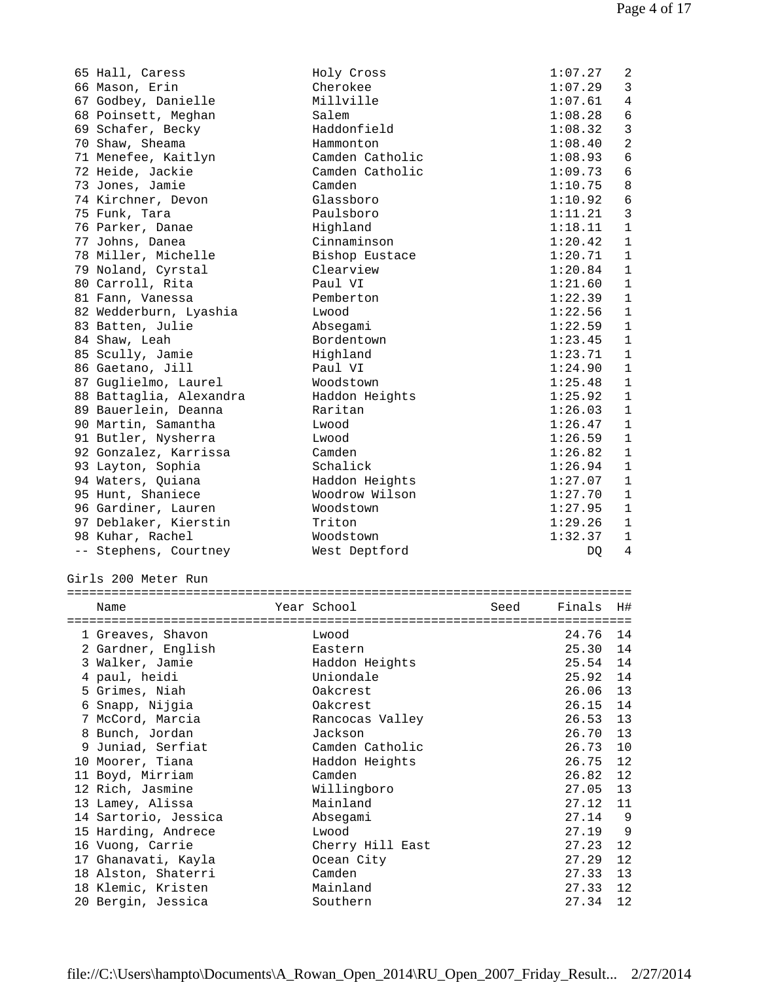| 65 Hall, Caress                          | Holy Cross       |      | 1:07.27        | 2              |
|------------------------------------------|------------------|------|----------------|----------------|
| 66 Mason, Erin                           | Cherokee         |      | 1:07.29        | 3              |
| 67 Godbey, Danielle                      | Millville        |      | 1:07.61        | 4              |
| 68 Poinsett, Meghan                      | Salem            |      | 1:08.28        | 6              |
| 69 Schafer, Becky                        | Haddonfield      |      | 1:08.32        | $\mathbf{3}$   |
| 70 Shaw, Sheama                          | Hammonton        |      | 1:08.40        | $\overline{a}$ |
| 71 Menefee, Kaitlyn                      | Camden Catholic  |      | 1:08.93        | 6              |
| 72 Heide, Jackie                         | Camden Catholic  |      | 1:09.73        | $\sqrt{6}$     |
| 73 Jones, Jamie                          | Camden           |      | 1:10.75        | 8              |
| 74 Kirchner, Devon                       | Glassboro        |      | 1:10.92        | $\sqrt{6}$     |
|                                          | Paulsboro        |      | 1:11.21        | 3              |
| 75 Funk, Tara                            |                  |      |                |                |
| 76 Parker, Danae                         | Highland         |      | 1:18.11        | $\mathbf{1}$   |
| 77 Johns, Danea                          | Cinnaminson      |      | 1:20.42        | $\mathbf{1}$   |
| 78 Miller, Michelle                      | Bishop Eustace   |      | 1:20.71        | $\mathbf{1}$   |
| 79 Noland, Cyrstal                       | Clearview        |      | 1:20.84        | $\mathbf{1}$   |
| 80 Carroll, Rita                         | Paul VI          |      | 1:21.60        | $\mathbf{1}$   |
| 81 Fann, Vanessa                         | Pemberton        |      | 1:22.39        | $\mathbf{1}$   |
| 82 Wedderburn, Lyashia                   | Lwood            |      | 1:22.56        | $\mathbf{1}$   |
| 83 Batten, Julie                         | Absegami         |      | 1:22.59        | $\mathbf{1}$   |
| 84 Shaw, Leah                            | Bordentown       |      | 1:23.45        | $\mathbf{1}$   |
| 85 Scully, Jamie                         | Highland         |      | 1:23.71        | $\mathbf{1}$   |
| 86 Gaetano, Jill                         | Paul VI          |      | 1:24.90        | $\mathbf{1}$   |
| 87 Guglielmo, Laurel                     | Woodstown        |      | 1:25.48        | $\mathbf{1}$   |
| 88 Battaglia, Alexandra                  | Haddon Heights   |      | 1:25.92        | $\mathbf{1}$   |
| 89 Bauerlein, Deanna                     | Raritan          |      | 1:26.03        | $\mathbf{1}$   |
| 90 Martin, Samantha                      | Lwood            |      | 1:26.47        | $\mathbf{1}$   |
| 91 Butler, Nysherra                      | Lwood            |      | 1:26.59        | $\mathbf{1}$   |
|                                          | Camden           |      |                | $\mathbf{1}$   |
| 92 Gonzalez, Karrissa                    |                  |      | 1:26.82        |                |
| 93 Layton, Sophia                        | Schalick         |      | 1:26.94        | $\mathbf{1}$   |
| 94 Waters, Quiana                        | Haddon Heights   |      | 1:27.07        | $\mathbf{1}$   |
| 95 Hunt, Shaniece                        | Woodrow Wilson   |      | 1:27.70        | 1              |
| 96 Gardiner, Lauren                      | Woodstown        |      | 1:27.95        | 1              |
| 97 Deblaker, Kierstin                    | Triton           |      | 1:29.26        | 1              |
| 98 Kuhar, Rachel                         | Woodstown        |      | 1:32.37        | $\mathbf{1}$   |
| -- Stephens, Courtney                    | West Deptford    |      | DQ.            | 4              |
| Girls 200 Meter Run                      |                  |      |                |                |
|                                          |                  |      |                |                |
| Name                                     | Year School      | Seed | Finals         | H#             |
|                                          |                  |      |                |                |
| 1 Greaves, Shavon                        | Lwood            |      | 24.76          | 14             |
| 2 Gardner, English                       | Eastern          |      | 25.30          | 14             |
| 3 Walker, Jamie                          | Haddon Heights   |      | 25.54          | 14             |
| 4 paul, heidi                            | Uniondale        |      | 25.92          | 14             |
| 5 Grimes, Niah                           | Oakcrest         |      | 26.06          | 13             |
| 6 Snapp, Nijgia                          | Oakcrest         |      | 26.15          | 14             |
| 7 McCord, Marcia                         | Rancocas Valley  |      | 26.53          | 13             |
|                                          |                  |      |                |                |
| 8 Bunch, Jordan                          | Jackson          |      | 26.70          | 13             |
| 9 Juniad, Serfiat                        | Camden Catholic  |      | 26.73          | 10             |
| 10 Moorer, Tiana                         | Haddon Heights   |      | 26.75          | 12             |
| 11 Boyd, Mirriam                         | Camden           |      | 26.82          | 12             |
| 12 Rich, Jasmine                         | Willingboro      |      | 27.05          | 13             |
| 13 Lamey, Alissa                         | Mainland         |      | 27.12          | 11             |
| 14 Sartorio, Jessica                     | Absegami         |      | 27.14          | 9              |
| 15 Harding, Andrece                      | Lwood            |      | 27.19          | 9              |
| 16 Vuong, Carrie                         | Cherry Hill East |      | 27.23          | 12             |
| 17 Ghanavati, Kayla                      | Ocean City       |      | 27.29          | 12             |
| 18 Alston, Shaterri                      | Camden           |      | 27.33          | 13             |
|                                          | Mainland         |      |                | 12             |
|                                          |                  |      |                |                |
| 18 Klemic, Kristen<br>20 Bergin, Jessica | Southern         |      | 27.33<br>27.34 | 12             |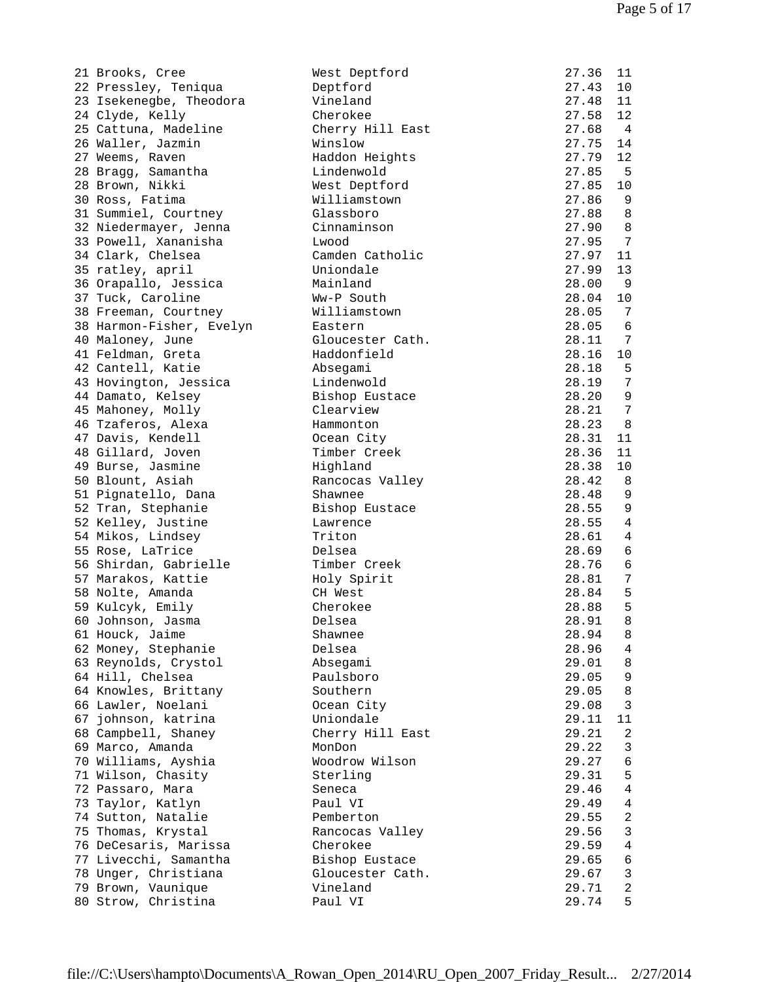| 21 Brooks, Cree          | West Deptford    | 27.36 | 11                      |
|--------------------------|------------------|-------|-------------------------|
| 22 Pressley, Teniqua     | Deptford         | 27.43 | 10                      |
| 23 Isekenegbe, Theodora  | Vineland         | 27.48 | 11                      |
| 24 Clyde, Kelly          | Cherokee         | 27.58 | 12                      |
| 25 Cattuna, Madeline     | Cherry Hill East | 27.68 | $\overline{4}$          |
| 26 Waller, Jazmin        | Winslow          | 27.75 | 14                      |
| 27 Weems, Raven          | Haddon Heights   | 27.79 | 12                      |
| 28 Bragg, Samantha       | Lindenwold       | 27.85 | - 5                     |
| 28 Brown, Nikki          | West Deptford    | 27.85 | 10                      |
| 30 Ross, Fatima          | Williamstown     | 27.86 | 9                       |
|                          | Glassboro        | 27.88 | 8                       |
| 31 Summiel, Courtney     |                  |       |                         |
| 32 Niedermayer, Jenna    | Cinnaminson      | 27.90 | 8                       |
| 33 Powell, Xananisha     | Lwood            | 27.95 | 7                       |
| 34 Clark, Chelsea        | Camden Catholic  | 27.97 | 11                      |
| 35 ratley, april         | Uniondale        | 27.99 | 13                      |
| 36 Orapallo, Jessica     | Mainland         | 28.00 | 9                       |
| 37 Tuck, Caroline        | Ww-P South       | 28.04 | 10                      |
| 38 Freeman, Courtney     | Williamstown     | 28.05 | 7                       |
| 38 Harmon-Fisher, Evelyn | Eastern          | 28.05 | 6                       |
| 40 Maloney, June         | Gloucester Cath. | 28.11 | 7                       |
| 41 Feldman, Greta        | Haddonfield      | 28.16 | 10                      |
| 42 Cantell, Katie        | Absegami         | 28.18 | 5                       |
| 43 Hovington, Jessica    | Lindenwold       | 28.19 | 7                       |
|                          |                  |       | 9                       |
| 44 Damato, Kelsey        | Bishop Eustace   | 28.20 | 7                       |
| 45 Mahoney, Molly        | Clearview        | 28.21 |                         |
| 46 Tzaferos, Alexa       | Hammonton        | 28.23 | 8                       |
| 47 Davis, Kendell        | Ocean City       | 28.31 | 11                      |
| 48 Gillard, Joven        | Timber Creek     | 28.36 | 11                      |
| 49 Burse, Jasmine        | Highland         | 28.38 | 10                      |
| 50 Blount, Asiah         | Rancocas Valley  | 28.42 | 8                       |
| 51 Pignatello, Dana      | Shawnee          | 28.48 | 9                       |
| 52 Tran, Stephanie       | Bishop Eustace   | 28.55 | 9                       |
| 52 Kelley, Justine       | Lawrence         | 28.55 | $\overline{4}$          |
| 54 Mikos, Lindsey        | Triton           | 28.61 | 4                       |
| 55 Rose, LaTrice         | Delsea           | 28.69 | 6                       |
| 56 Shirdan, Gabrielle    | Timber Creek     | 28.76 | 6                       |
| 57 Marakos, Kattie       | Holy Spirit      | 28.81 | 7                       |
| 58 Nolte, Amanda         | CH West          | 28.84 | 5                       |
| 59 Kulcyk, Emily         | Cherokee         | 28.88 | 5                       |
|                          | Delsea           | 28.91 |                         |
| 60 Johnson, Jasma        |                  |       | 8                       |
| 61 Houck, Jaime          | Shawnee          | 28.94 | 8                       |
| 62 Money, Stephanie      | Delsea           | 28.96 | 4                       |
| 63 Reynolds, Crystol     | Absegami         | 29.01 | 8                       |
| 64 Hill, Chelsea         | Paulsboro        | 29.05 | 9                       |
| 64 Knowles, Brittany     | Southern         | 29.05 | 8                       |
| 66 Lawler, Noelani       | Ocean City       | 29.08 | 3                       |
| 67 johnson, katrina      | Uniondale        | 29.11 | 11                      |
| 68 Campbell, Shaney      | Cherry Hill East | 29.21 | $\overline{2}$          |
| 69 Marco, Amanda         | MonDon           | 29.22 | 3                       |
| 70 Williams, Ayshia      | Woodrow Wilson   | 29.27 | 6                       |
| 71 Wilson, Chasity       | Sterling         | 29.31 | 5                       |
| 72 Passaro, Mara         | Seneca           | 29.46 | 4                       |
| 73 Taylor, Katlyn        | Paul VI          | 29.49 | $\overline{4}$          |
| 74 Sutton, Natalie       | Pemberton        | 29.55 | $\overline{a}$          |
| 75 Thomas, Krystal       |                  | 29.56 | $\mathbf{3}$            |
|                          | Rancocas Valley  |       |                         |
| 76 DeCesaris, Marissa    | Cherokee         | 29.59 | 4                       |
| 77 Livecchi, Samantha    | Bishop Eustace   | 29.65 | 6                       |
| 78 Unger, Christiana     | Gloucester Cath. | 29.67 | 3                       |
| 79 Brown, Vaunique       | Vineland         | 29.71 | $\overline{\mathbf{c}}$ |
| 80 Strow, Christina      | Paul VI          | 29.74 | 5                       |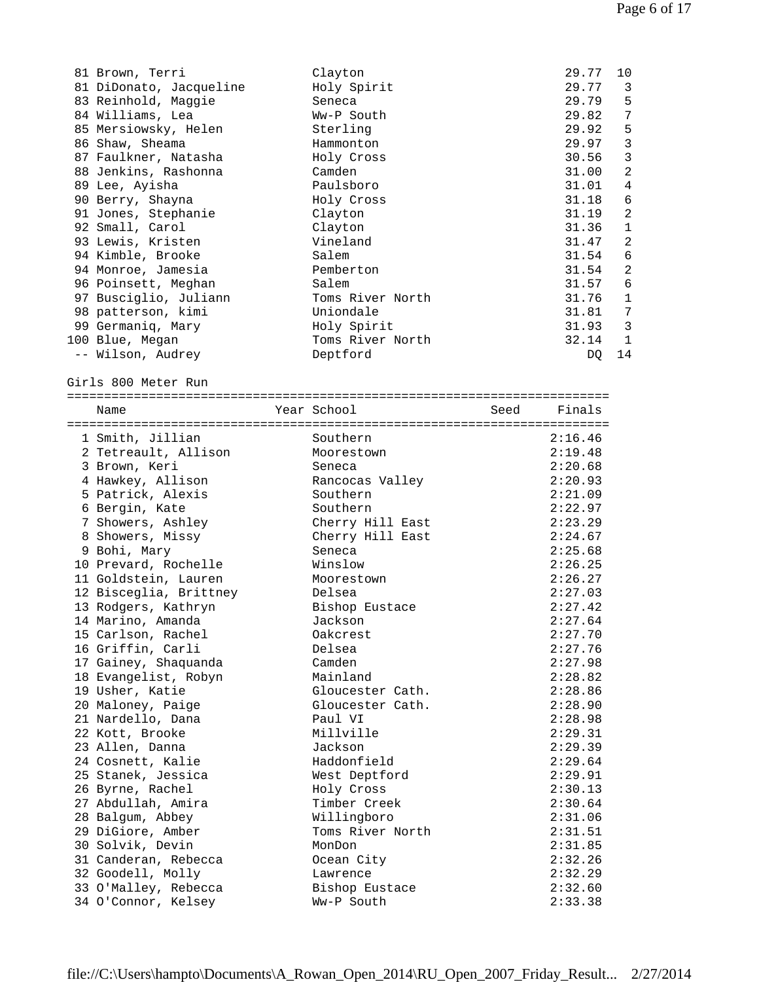| 81 Brown, Terri         | Clayton          | 29.77 | 10          |
|-------------------------|------------------|-------|-------------|
| 81 DiDonato, Jacqueline | Holy Spirit      | 29.77 | 3           |
| 83 Reinhold, Maggie     | Seneca           | 29.79 | 5           |
| 84 Williams, Lea        | Ww-P South       | 29.82 | 7           |
| 85 Mersiowsky, Helen    | Sterling         | 29.92 | 5           |
| 86 Shaw, Sheama         | Hammonton        | 29.97 | 3           |
| 87 Faulkner, Natasha    | Holy Cross       | 30.56 | 3           |
| 88 Jenkins, Rashonna    | Camden           | 31.00 | 2           |
| 89 Lee, Ayisha          | Paulsboro        | 31.01 | 4           |
| 90 Berry, Shayna        | Holy Cross       | 31.18 | 6           |
| 91 Jones, Stephanie     | Clayton          | 31.19 | 2           |
| 92 Small, Carol         | Clayton          | 31.36 | $\mathbf 1$ |
| 93 Lewis, Kristen       | Vineland         | 31.47 | 2           |
| 94 Kimble, Brooke       | Salem            | 31.54 | 6           |
| 94 Monroe, Jamesia      | Pemberton        | 31.54 | 2           |
| 96 Poinsett, Meghan     | Salem            | 31.57 | 6           |
| 97 Busciglio, Juliann   | Toms River North | 31.76 | 1           |
| 98 patterson, kimi      | Uniondale        | 31.81 | 7           |
| 99 Germaniq, Mary       | Holy Spirit      | 31.93 | 3           |
| 100 Blue, Megan         | Toms River North | 32.14 | 1           |
| -- Wilson, Audrey       | Deptford         | DQ    | 14          |

Girls 800 Meter Run

| Name                   | Year School      | Seed Finals |         |
|------------------------|------------------|-------------|---------|
|                        |                  |             |         |
| 1 Smith, Jillian       | Southern         |             | 2:16.46 |
| 2 Tetreault, Allison   | Moorestown       |             | 2:19.48 |
| 3 Brown, Keri          | Seneca           |             | 2:20.68 |
| 4 Hawkey, Allison      | Rancocas Valley  |             | 2:20.93 |
| 5 Patrick, Alexis      | Southern         |             | 2:21.09 |
| 6 Bergin, Kate         | Southern         |             | 2:22.97 |
| 7 Showers, Ashley      | Cherry Hill East |             | 2:23.29 |
| 8 Showers, Missy       | Cherry Hill East |             | 2:24.67 |
| 9 Bohi, Mary           | Seneca           |             | 2:25.68 |
| 10 Prevard, Rochelle   | Winslow          |             | 2:26.25 |
| 11 Goldstein, Lauren   | Moorestown       |             | 2:26.27 |
| 12 Bisceglia, Brittney | Delsea           |             | 2:27.03 |
| 13 Rodgers, Kathryn    | Bishop Eustace   |             | 2:27.42 |
| 14 Marino, Amanda      | Jackson          |             | 2:27.64 |
| 15 Carlson, Rachel     | Oakcrest         |             | 2:27.70 |
| 16 Griffin, Carli      | Delsea           |             | 2:27.76 |
| 17 Gainey, Shaquanda   | Camden           |             | 2:27.98 |
| 18 Evangelist, Robyn   | Mainland         |             | 2:28.82 |
| 19 Usher, Katie        | Gloucester Cath. |             | 2:28.86 |
| 20 Maloney, Paige      | Gloucester Cath. |             | 2:28.90 |
| 21 Nardello, Dana      | Paul VI          |             | 2:28.98 |
| 22 Kott, Brooke        | Millville        |             | 2:29.31 |
| 23 Allen, Danna        | Jackson          |             | 2:29.39 |
| 24 Cosnett, Kalie      | Haddonfield      |             | 2:29.64 |
| 25 Stanek, Jessica     | West Deptford    |             | 2:29.91 |
| 26 Byrne, Rachel       | Holy Cross       |             | 2:30.13 |
| 27 Abdullah, Amira     | Timber Creek     |             | 2:30.64 |
| 28 Balgum, Abbey       | Willingboro      |             | 2:31.06 |
| 29 DiGiore, Amber      | Toms River North |             | 2:31.51 |
| 30 Solvik, Devin       | MonDon           |             | 2:31.85 |
| 31 Canderan, Rebecca   | Ocean City       |             | 2:32.26 |
| 32 Goodell, Molly      | Lawrence         |             | 2:32.29 |
| 33 O'Malley, Rebecca   | Bishop Eustace   |             | 2:32.60 |
| 34 O'Connor, Kelsey    | Ww-P South       |             | 2:33.38 |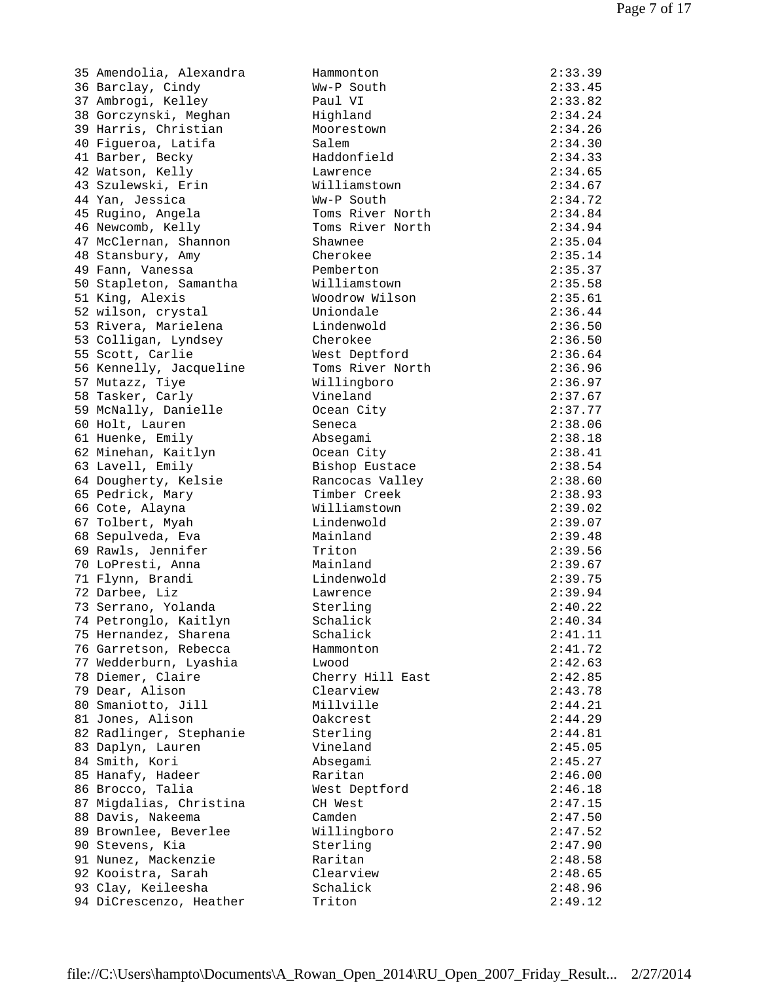35 Amendolia, Alexandra Hammonton 2:33.39 36 Barclay, Cindy 37 Ambrogi, Kelley 38 Gorczynski, Meghan 39 Harris, Christian 40 Figueroa, Latifa 41 Barber, Becky 42 Watson, Kelly 43 Szulewski, Erin 44 Yan, Jessica 45 Rugino, Angela 46 Newcomb, Kelly 47 McClernan, Shannon 48 Stansbury, Amy 49 Fann, Vanessa 50 Stapleton, Samantha 51 King, Alexis 52 wilson, crystal 53 Rivera, Marielena 53 Colligan, Lyndsey 55 Scott, Carlie 56 Kennelly, Jacqueline 57 Mutazz, Tiye 58 Tasker, Carly 59 McNally, Danielle 60 Holt, Lauren 61 Huenke, Emily 62 Minehan, Kaitlyn 63 Lavell, Emily 64 Dougherty, Kelsie 65 Pedrick, Mary 66 Cote, Alayna 67 Tolbert, Myah 68 Sepulveda, Eva 69 Rawls, Jennifer 70 LoPresti, Anna 71 Flynn, Brandi 72 Darbee, Liz 73 Serrano, Yolanda 74 Petronglo, Kaitlyn 75 Hernandez, Sharena 76 Garretson, Rebecca 77 Wedderburn, Lyashia 78 Diemer, Claire 79 Dear, Alison 80 Smaniotto, Jill 81 Jones, Alison 82 Radlinger, Stephanie 83 Daplyn, Lauren 84 Smith, Kori 85 Hanafy, Hadeer 86 Brocco, Talia 87 Migdalias, Christina 88 Davis, Nakeema 89 Brownlee, Beverlee 90 Stevens, Kia 91 Nunez, Mackenzie 92 Kooistra, Sarah 93 Clay, Keileesha 94 DiCrescenzo, Heather

| Hammoncon        | 2 . 3 . 3 . 3 |
|------------------|---------------|
| Ww-P South       | 2:33.45       |
| Paul VI          | 2:33.82       |
| Highland         | 2:34.24       |
| Moorestown       | 2:34.26       |
|                  |               |
| Salem            | 2:34.30       |
| Haddonfield      | 2:34.33       |
| Lawrence         | 2:34.65       |
| Williamstown     | 2:34.67       |
| Ww-P South       | 2:34.72       |
| Toms River North | 2:34.84       |
| Toms River North | 2:34.94       |
| Shawnee          | 2:35.04       |
| Cherokee         | 2:35.14       |
|                  |               |
| Pemberton        | 2:35.37       |
| Williamstown     | 2:35.58       |
| Woodrow Wilson   | 2:35.61       |
| Uniondale        | 2:36.44       |
| Lindenwold       | 2:36.50       |
| Cherokee         | 2:36.50       |
| West Deptford    | 2:36.64       |
| Toms River North | 2:36.96       |
| Willingboro      | 2:36.97       |
| Vineland         | 2:37.67       |
|                  |               |
| Ocean City       | 2:37.77       |
| Seneca           | 2:38.06       |
| Absegami         | 2:38.18       |
| Ocean City       | 2:38.41       |
| Bishop Eustace   | 2:38.54       |
| Rancocas Valley  | 2:38.60       |
| Timber Creek     | 2:38.93       |
| Williamstown     | 2:39.02       |
| Lindenwold       | 2:39.07       |
|                  |               |
| Mainland         | 2:39.48       |
| Triton           | 2:39.56       |
| Mainland         | 2:39.67       |
| Lindenwold       | 2:39.75       |
| Lawrence         | 2:39.94       |
| Sterling         | 2:40.22       |
| Schalick         | 2:40.34       |
| Schalick         | 2:41.11       |
| Hammonton        | 2:41.72       |
| Lwood            | 2:42.63       |
|                  | 2:42.85       |
| Cherry Hill East |               |
| Clearview        | 2:43.78       |
| Millville        | 2:44.21       |
| Oakcrest         | 2:44.29       |
| Sterling         | 2:44.81       |
| Vineland         | 2:45.05       |
| Absegami         | 2:45.27       |
| Raritan          | 2:46.00       |
| West Deptford    | 2:46.18       |
|                  | 2:47.15       |
| CH West          |               |
| Camden           | 2:47.50       |
| Willingboro      | 2:47.52       |
| Sterling         | 2:47.90       |
| Raritan          | 2:48.58       |
| Clearview        | 2:48.65       |
| Schalick         | 2:48.96       |
| Triton           | 2:49.12       |
|                  |               |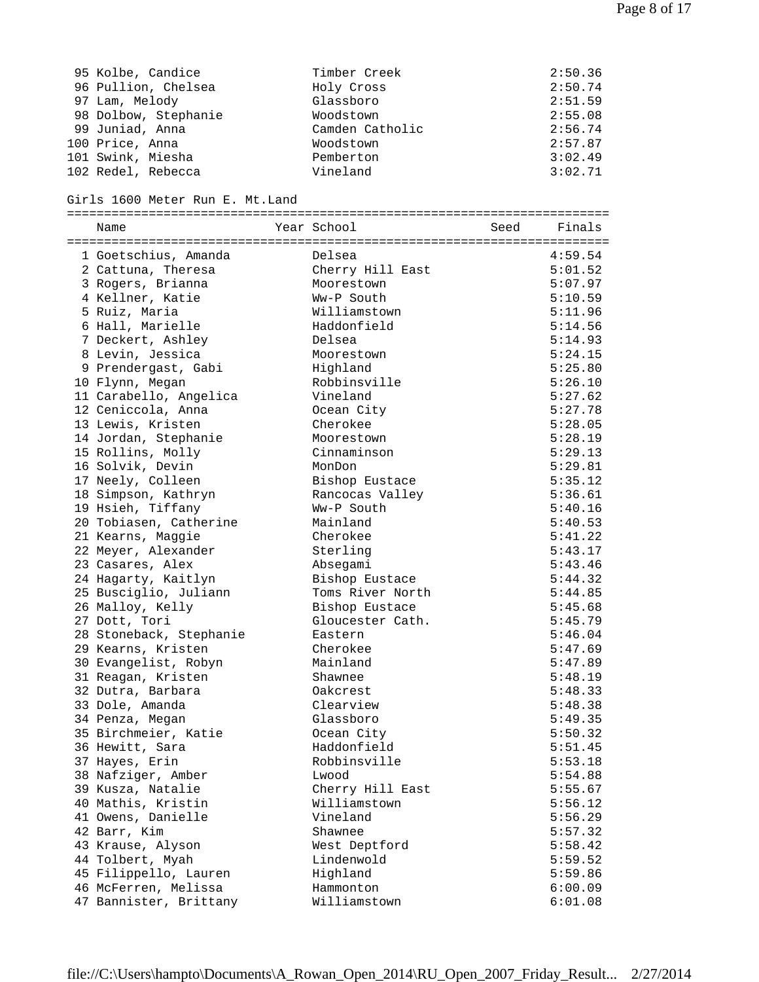| 95 Kolbe, Candice                | Timber Creek     |      | 2:50.36 |
|----------------------------------|------------------|------|---------|
| 96 Pullion, Chelsea              | Holy Cross       |      | 2:50.74 |
| 97 Lam, Melody                   | Glassboro        |      | 2:51.59 |
| 98 Dolbow, Stephanie             | Woodstown        |      | 2:55.08 |
| 99 Juniad, Anna                  | Camden Catholic  |      | 2:56.74 |
| 100 Price, Anna                  | Woodstown        |      | 2:57.87 |
| 101 Swink, Miesha                | Pemberton        |      | 3:02.49 |
| 102 Redel, Rebecca               | Vineland         |      | 3:02.71 |
|                                  |                  |      |         |
| Girls 1600 Meter Run E. Mt. Land |                  |      |         |
|                                  |                  |      |         |
| Name                             | Year School      | Seed | Finals  |
|                                  |                  |      |         |
| 1 Goetschius, Amanda             | Delsea           |      | 4:59.54 |
| 2 Cattuna, Theresa               | Cherry Hill East |      | 5:01.52 |
| 3 Rogers, Brianna                | Moorestown       |      | 5:07.97 |
| 4 Kellner, Katie                 | Ww-P South       |      | 5:10.59 |
| 5 Ruiz, Maria                    | Williamstown     |      | 5:11.96 |
| 6 Hall, Marielle                 | Haddonfield      |      | 5:14.56 |
| 7 Deckert, Ashley                | Delsea           |      | 5:14.93 |
| 8 Levin, Jessica                 | Moorestown       |      | 5:24.15 |
| 9 Prendergast, Gabi              | Highland         |      | 5:25.80 |
| 10 Flynn, Megan                  | Robbinsville     |      | 5:26.10 |
| 11 Carabello, Angelica           | Vineland         |      | 5:27.62 |
| 12 Ceniccola, Anna               | Ocean City       |      | 5:27.78 |
| 13 Lewis, Kristen                | Cherokee         |      | 5:28.05 |
| 14 Jordan, Stephanie             | Moorestown       |      | 5:28.19 |
| 15 Rollins, Molly                | Cinnaminson      |      | 5:29.13 |
|                                  |                  |      |         |
| 16 Solvik, Devin                 | MonDon           |      | 5:29.81 |
| 17 Neely, Colleen                | Bishop Eustace   |      | 5:35.12 |
| 18 Simpson, Kathryn              | Rancocas Valley  |      | 5:36.61 |
| 19 Hsieh, Tiffany                | Ww-P South       |      | 5:40.16 |
| 20 Tobiasen, Catherine           | Mainland         |      | 5:40.53 |
| 21 Kearns, Maggie                | Cherokee         |      | 5:41.22 |
| 22 Meyer, Alexander              | Sterling         |      | 5:43.17 |
| 23 Casares, Alex                 | Absegami         |      | 5:43.46 |
| 24 Hagarty, Kaitlyn              | Bishop Eustace   |      | 5:44.32 |
| 25 Busciglio, Juliann            | Toms River North |      | 5:44.85 |
| 26 Malloy, Kelly                 | Bishop Eustace   |      | 5:45.68 |
| 27 Dott, Tori                    | Gloucester Cath. |      | 5:45.79 |
| 28 Stoneback, Stephanie          | Eastern          |      | 5:46.04 |
| 29 Kearns, Kristen               | Cherokee         |      | 5:47.69 |
| 30 Evangelist, Robyn             | Mainland         |      | 5:47.89 |
| 31 Reagan, Kristen               | Shawnee          |      | 5:48.19 |
| 32 Dutra, Barbara                | Oakcrest         |      | 5:48.33 |
| 33 Dole, Amanda                  | Clearview        |      | 5:48.38 |
| 34 Penza, Megan                  | Glassboro        |      | 5:49.35 |
| 35 Birchmeier, Katie             | Ocean City       |      | 5:50.32 |
| 36 Hewitt, Sara                  | Haddonfield      |      | 5:51.45 |
| 37 Hayes, Erin                   | Robbinsville     |      | 5:53.18 |
| 38 Nafziger, Amber               | Lwood            |      | 5:54.88 |
| 39 Kusza, Natalie                | Cherry Hill East |      | 5:55.67 |
| 40 Mathis, Kristin               | Williamstown     |      | 5:56.12 |
| 41 Owens, Danielle               | Vineland         |      | 5:56.29 |
| 42 Barr, Kim                     | Shawnee          |      | 5:57.32 |
| 43 Krause, Alyson                | West Deptford    |      | 5:58.42 |
| 44 Tolbert, Myah                 | Lindenwold       |      | 5:59.52 |
| 45 Filippello, Lauren            | Highland         |      | 5:59.86 |
| 46 McFerren, Melissa             | Hammonton        |      | 6:00.09 |
| 47 Bannister, Brittany           | Williamstown     |      | 6:01.08 |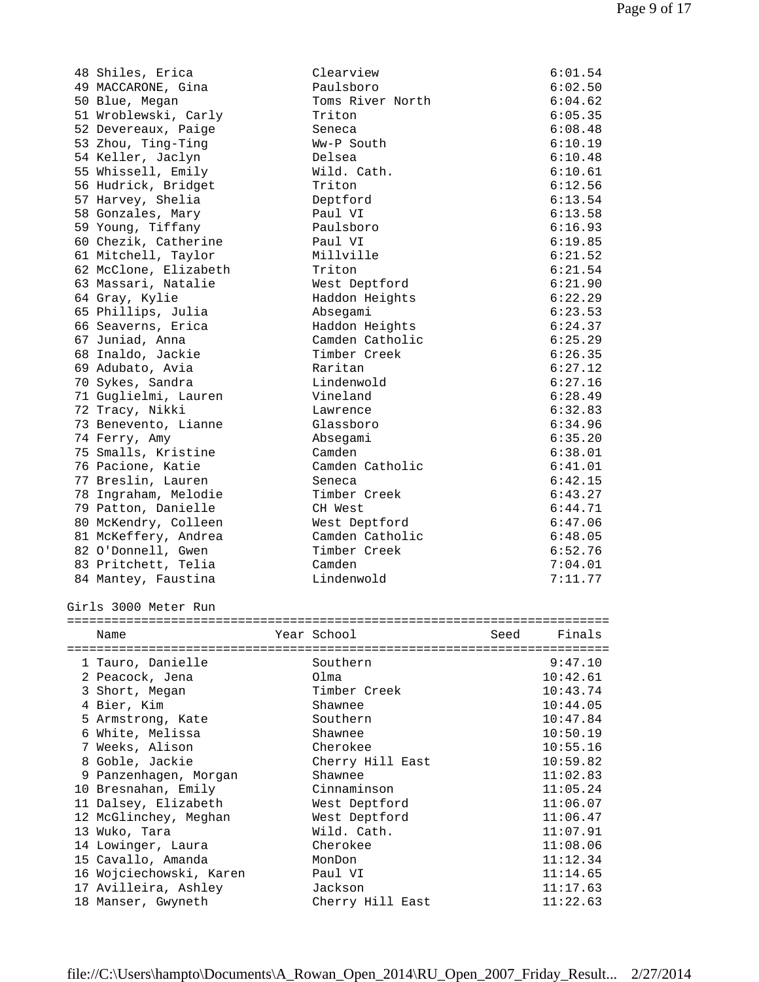| 1 Tauro, Danielle     | Southern         | 9:47.10        |
|-----------------------|------------------|----------------|
| Name                  | Year School      | Finals<br>Seed |
| Girls 3000 Meter Run  |                  |                |
| 84 Mantey, Faustina   | Lindenwold       | 7:11.77        |
| 83 Pritchett, Telia   | Camden           | 7:04.01        |
| 82 O'Donnell, Gwen    | Timber Creek     | 6:52.76        |
| 81 McKeffery, Andrea  | Camden Catholic  | 6:48.05        |
| 80 McKendry, Colleen  | West Deptford    | 6:47.06        |
| 79 Patton, Danielle   | CH West          | 6:44.71        |
| 78 Ingraham, Melodie  | Timber Creek     | 6:43.27        |
| 77 Breslin, Lauren    | Seneca           | 6:42.15        |
| 76 Pacione, Katie     | Camden Catholic  | 6:41.01        |
| 75 Smalls, Kristine   | Camden           | 6:38.01        |
| 74 Ferry, Amy         | Absegami         | 6:35.20        |
| 73 Benevento, Lianne  | Glassboro        | 6:34.96        |
| 72 Tracy, Nikki       | Lawrence         | 6:32.83        |
| 71 Guglielmi, Lauren  | Vineland         | 6:28.49        |
| 70 Sykes, Sandra      | Lindenwold       | 6:27.16        |
| 69 Adubato, Avia      | Raritan          | 6:27.12        |
| 68 Inaldo, Jackie     | Timber Creek     | 6:26.35        |
| 67 Juniad, Anna       | Camden Catholic  | 6:25.29        |
| 66 Seaverns, Erica    | Haddon Heights   | 6:24.37        |
| 65 Phillips, Julia    | Absegami         | 6:23.53        |
| 64 Gray, Kylie        | Haddon Heights   | 6:22.29        |
| 63 Massari, Natalie   | West Deptford    | 6:21.90        |
| 62 McClone, Elizabeth | Triton           | 6:21.54        |
| 61 Mitchell, Taylor   | Millville        | 6:21.52        |
| 60 Chezik, Catherine  | Paul VI          | 6:19.85        |
| 59 Young, Tiffany     | Paulsboro        | 6:16.93        |
| 58 Gonzales, Mary     | Paul VI          | 6:13.58        |
| 57 Harvey, Shelia     | Deptford         | 6:13.54        |
| 56 Hudrick, Bridget   | Triton           | 6:12.56        |
| 55 Whissell, Emily    | Wild. Cath.      | 6:10.61        |
| 54 Keller, Jaclyn     | Delsea           | 6:10.48        |
| 53 Zhou, Ting-Ting    | Ww-P South       | 6:10.19        |
| 52 Devereaux, Paige   | Seneca           | 6:08.48        |
| 51 Wroblewski, Carly  | Triton           | 6:05.35        |
| 50 Blue, Megan        | Toms River North | 6:04.62        |
| 49 MACCARONE, Gina    | Paulsboro        | 6:02.50        |

| 1 Tauro, Danielle       | Southern         | 9:47.10  |
|-------------------------|------------------|----------|
| 2 Peacock, Jena         | Olma             | 10:42.61 |
| 3 Short, Megan          | Timber Creek     | 10:43.74 |
| 4 Bier, Kim             | Shawnee          | 10:44.05 |
| 5 Armstrong, Kate       | Southern         | 10:47.84 |
| 6 White, Melissa        | Shawnee          | 10:50.19 |
| 7 Weeks, Alison         | Cherokee         | 10:55.16 |
| 8 Goble, Jackie         | Cherry Hill East | 10:59.82 |
| 9 Panzenhagen, Morgan   | Shawnee          | 11:02.83 |
| 10 Bresnahan, Emily     | Cinnaminson      | 11:05.24 |
| 11 Dalsey, Elizabeth    | West Deptford    | 11:06.07 |
| 12 McGlinchey, Meghan   | West Deptford    | 11:06.47 |
| 13 Wuko, Tara           | Wild. Cath.      | 11:07.91 |
| 14 Lowinger, Laura      | Cherokee         | 11:08.06 |
| 15 Cavallo, Amanda      | MonDon           | 11:12.34 |
| 16 Wojciechowski, Karen | Paul VI          | 11:14.65 |
| 17 Avilleira, Ashley    | Jackson          | 11:17.63 |
| 18 Manser, Gwyneth      | Cherry Hill East | 11:22.63 |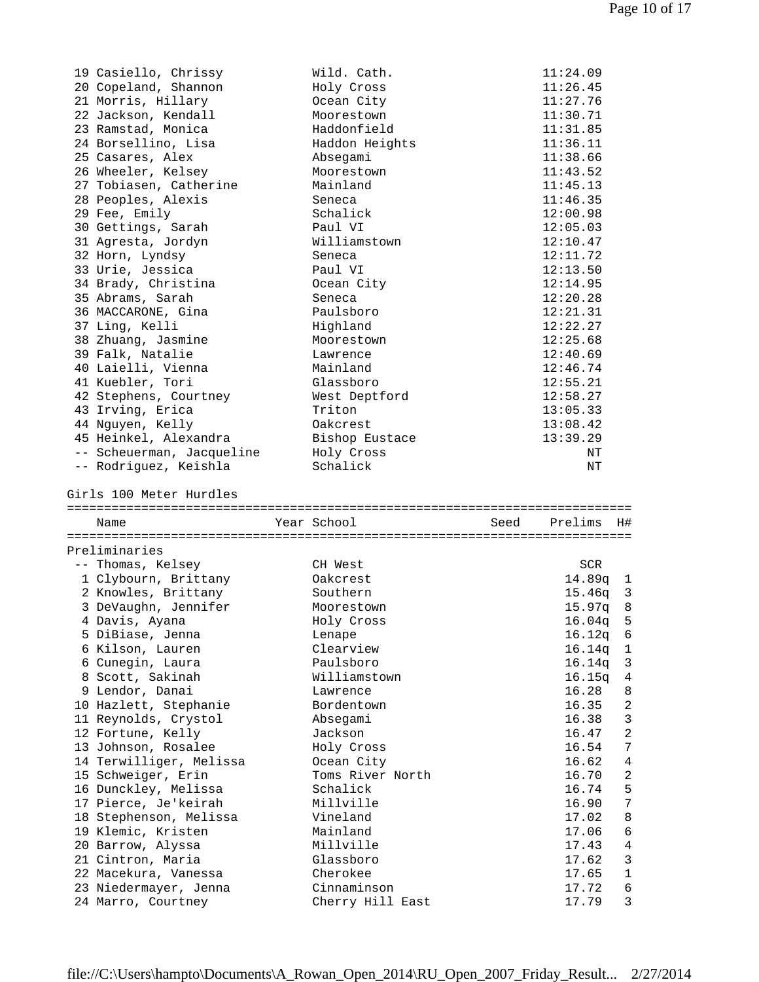| 19 Casiello, Chrissy                        | Wild. Cath.                     | 11:24.09                  |
|---------------------------------------------|---------------------------------|---------------------------|
| 20 Copeland, Shannon                        | Holy Cross                      | 11:26.45                  |
| 21 Morris, Hillary                          | Ocean City                      | 11:27.76                  |
| 22 Jackson, Kendall                         | Moorestown                      | 11:30.71                  |
| 23 Ramstad, Monica                          | Haddonfield                     | 11:31.85                  |
| 24 Borsellino, Lisa                         | Haddon Heights                  | 11:36.11                  |
| 25 Casares, Alex                            | Absegami                        | 11:38.66                  |
| 26 Wheeler, Kelsey                          | Moorestown                      | 11:43.52                  |
| 27 Tobiasen, Catherine                      | Mainland                        | 11:45.13                  |
| 28 Peoples, Alexis                          | Seneca                          | 11:46.35                  |
| 29 Fee, Emily                               | Schalick                        | 12:00.98                  |
| 30 Gettings, Sarah                          | Paul VI                         | 12:05.03                  |
|                                             |                                 |                           |
| 31 Agresta, Jordyn                          | Williamstown                    | 12:10.47                  |
| 32 Horn, Lyndsy                             | Seneca                          | 12:11.72                  |
| 33 Urie, Jessica                            | Paul VI                         | 12:13.50                  |
| 34 Brady, Christina                         | Ocean City                      | 12:14.95                  |
| 35 Abrams, Sarah                            | Seneca                          | 12:20.28                  |
| 36 MACCARONE, Gina                          | Paulsboro                       | 12:21.31                  |
| 37 Ling, Kelli                              | Highland                        | 12:22.27                  |
| 38 Zhuang, Jasmine                          | Moorestown                      | 12:25.68                  |
| 39 Falk, Natalie                            | Lawrence                        | 12:40.69                  |
| 40 Laielli, Vienna                          | Mainland                        | 12:46.74                  |
| 41 Kuebler, Tori                            | Glassboro                       | 12:55.21                  |
| 42 Stephens, Courtney                       | West Deptford                   | 12:58.27                  |
| 43 Irving, Erica                            | Triton                          | 13:05.33                  |
| 44 Nguyen, Kelly                            | Oakcrest                        | 13:08.42                  |
| 45 Heinkel, Alexandra                       | Bishop Eustace                  | 13:39.29                  |
| -- Scheuerman, Jacqueline                   | Holy Cross                      | ΝT                        |
| -- Rodriguez, Keishla                       | Schalick                        | ΝT                        |
|                                             |                                 |                           |
| Girls 100 Meter Hurdles                     |                                 |                           |
| Name                                        | Year School<br>Seed             | Prelims<br>H#.            |
|                                             |                                 |                           |
| Preliminaries                               |                                 |                           |
| -- Thomas, Kelsey                           | CH West                         | SCR                       |
| 1 Clybourn, Brittany                        | Oakcrest                        | 14.89q 1                  |
| 2 Knowles, Brittany                         | Southern                        | $15.46q$ 3                |
| 3 DeVaughn, Jennifer                        | Moorestown                      | 15.97q<br>8               |
| 4 Davis, Ayana                              | Holy Cross                      | 5<br>16.04q               |
| 5 DiBiase, Jenna                            | Lenape                          | 16.12q<br>6               |
| 6 Kilson, Lauren                            | Clearview                       | 16.14q<br>1               |
| 6 Cunegin, Laura                            | Paulsboro                       | 16.14q<br>3               |
| 8 Scott, Sakinah                            | Williamstown                    | 16.15q<br>$\bf 4$         |
| 9 Lendor, Danai                             | Lawrence                        | 16.28<br>8                |
|                                             | Bordentown                      |                           |
| 10 Hazlett, Stephanie                       |                                 | 16.35<br>2<br>16.38       |
| 11 Reynolds, Crystol                        | Absegami                        | 3                         |
| 12 Fortune, Kelly                           | Jackson                         | $\sqrt{2}$<br>16.47       |
| 13 Johnson, Rosalee                         | Holy Cross                      | 16.54<br>7                |
| 14 Terwilliger, Melissa                     | Ocean City                      | 16.62<br>$\overline{4}$   |
| 15 Schweiger, Erin                          | Toms River North                | 2<br>16.70                |
| 16 Dunckley, Melissa                        | Schalick                        | 5<br>16.74                |
| 17 Pierce, Je'keirah                        | Millville                       | $\boldsymbol{7}$<br>16.90 |
| 18 Stephenson, Melissa                      | Vineland                        | 8<br>17.02                |
| 19 Klemic, Kristen                          | Mainland                        | 17.06<br>6                |
| 20 Barrow, Alyssa                           | Millville                       | 17.43<br>4                |
| 21 Cintron, Maria                           | Glassboro                       | 3<br>17.62                |
| 22 Macekura, Vanessa                        | Cherokee                        | 17.65<br>1                |
| 23 Niedermayer, Jenna<br>24 Marro, Courtney | Cinnaminson<br>Cherry Hill East | 17.72<br>6<br>3<br>17.79  |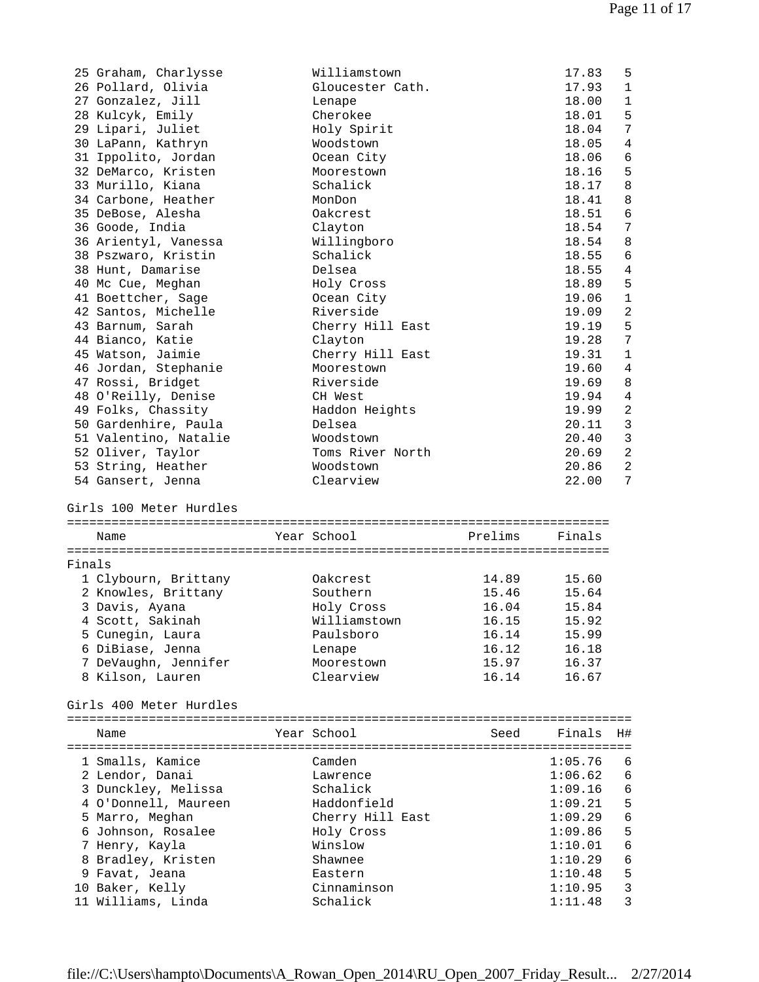|        | 25 Graham, Charlysse                  | Williamstown            |         | 17.83   | 5              |
|--------|---------------------------------------|-------------------------|---------|---------|----------------|
|        | 26 Pollard, Olivia                    | Gloucester Cath.        |         | 17.93   | 1              |
|        | 27 Gonzalez, Jill                     | Lenape                  |         | 18.00   | $\mathbf 1$    |
|        | 28 Kulcyk, Emily                      | Cherokee                |         | 18.01   | 5              |
|        | 29 Lipari, Juliet                     | Holy Spirit             |         | 18.04   | 7              |
|        | 30 LaPann, Kathryn                    | Woodstown               |         | 18.05   | $\overline{4}$ |
|        | 31 Ippolito, Jordan                   | Ocean City              |         | 18.06   | 6              |
|        | 32 DeMarco, Kristen                   |                         |         |         | 5              |
|        |                                       | Moorestown              |         | 18.16   |                |
|        | 33 Murillo, Kiana                     | Schalick                |         | 18.17   | 8              |
|        | 34 Carbone, Heather                   | MonDon                  |         | 18.41   | 8              |
|        | 35 DeBose, Alesha                     | Oakcrest                |         | 18.51   | 6              |
|        | 36 Goode, India                       | Clayton                 |         | 18.54   | 7              |
|        | 36 Arientyl, Vanessa                  | Willingboro             |         | 18.54   | 8              |
|        | 38 Pszwaro, Kristin                   | Schalick                |         | 18.55   | 6              |
|        | 38 Hunt, Damarise                     | Delsea                  |         | 18.55   | $\overline{4}$ |
|        | 40 Mc Cue, Meghan                     | Holy Cross              |         | 18.89   | 5              |
|        | 41 Boettcher, Sage                    | Ocean City              |         | 19.06   | $\mathbf{1}$   |
|        | 42 Santos, Michelle                   | Riverside               |         | 19.09   | 2              |
|        | 43 Barnum, Sarah                      | Cherry Hill East        |         | 19.19   | 5              |
|        | 44 Bianco, Katie                      | Clayton                 |         | 19.28   | 7              |
|        | 45 Watson, Jaimie                     | Cherry Hill East        |         | 19.31   | $\mathbf{1}$   |
|        |                                       |                         |         |         |                |
|        | 46 Jordan, Stephanie                  | Moorestown              |         | 19.60   | 4              |
|        | 47 Rossi, Bridget                     | Riverside               |         | 19.69   | 8              |
|        | 48 O'Reilly, Denise                   | CH West                 |         | 19.94   | $\overline{4}$ |
|        | 49 Folks, Chassity                    | Haddon Heights          |         | 19.99   | 2              |
|        | 50 Gardenhire, Paula                  | Delsea                  |         | 20.11   | 3              |
|        | 51 Valentino, Natalie                 | Woodstown               |         | 20.40   | $\mathbf{3}$   |
|        | 52 Oliver, Taylor                     | Toms River North        |         | 20.69   | $\overline{a}$ |
|        | 53 String, Heather                    | Woodstown               |         | 20.86   | $\overline{c}$ |
|        | 54 Gansert, Jenna                     | Clearview               |         | 22.00   | 7              |
|        |                                       |                         |         |         |                |
|        | Girls 100 Meter Hurdles               |                         |         |         |                |
|        |                                       |                         |         |         |                |
|        | Name                                  | Year School             | Prelims | Finals  |                |
|        |                                       |                         |         |         |                |
| Finals |                                       |                         |         |         |                |
|        | 1 Clybourn, Brittany                  | Oakcrest                | 14.89   | 15.60   |                |
|        | 2 Knowles, Brittany                   | Southern                | 15.46   | 15.64   |                |
|        | 3 Davis, Ayana                        | Holy Cross              | 16.04   | 15.84   |                |
|        | 4 Scott, Sakinah                      | Williamstown            | 16.15   | 15.92   |                |
|        | 5 Cunegin, Laura                      | Paulsboro               | 16.14   | 15.99   |                |
|        | 6 DiBiase, Jenna                      | Lenape                  | 16.12   | 16.18   |                |
|        | 7 DeVaughn, Jennifer                  | Moorestown              | 15.97   | 16.37   |                |
|        | 8 Kilson, Lauren                      | Clearview               | 16.14   | 16.67   |                |
|        |                                       |                         |         |         |                |
|        | Girls 400 Meter Hurdles               |                         |         |         |                |
|        |                                       |                         |         |         |                |
|        | Name                                  | Year School             | Seed    | Finals  | H#             |
|        |                                       |                         |         |         |                |
|        |                                       |                         |         |         |                |
|        | 1 Smalls, Kamice                      | Camden                  |         | 1:05.76 | 6              |
|        | 2 Lendor, Danai                       | Lawrence                |         | 1:06.62 | 6              |
|        | 3 Dunckley, Melissa                   | Schalick                |         | 1:09.16 | 6              |
|        | 4 O'Donnell, Maureen                  | Haddonfield             |         | 1:09.21 | 5              |
|        | 5 Marro, Meghan                       | Cherry Hill East        |         | 1:09.29 | 6              |
|        | 6 Johnson, Rosalee                    | Holy Cross              |         | 1:09.86 | 5              |
|        | 7 Henry, Kayla                        | Winslow                 |         | 1:10.01 | 6              |
|        | 8 Bradley, Kristen                    | Shawnee                 |         | 1:10.29 | 6              |
|        | 9 Favat, Jeana                        | Eastern                 |         | 1:10.48 | 5              |
|        | 10 Baker, Kelly<br>11 Williams, Linda | Cinnaminson<br>Schalick |         | 1:10.95 | $\mathbf{3}$   |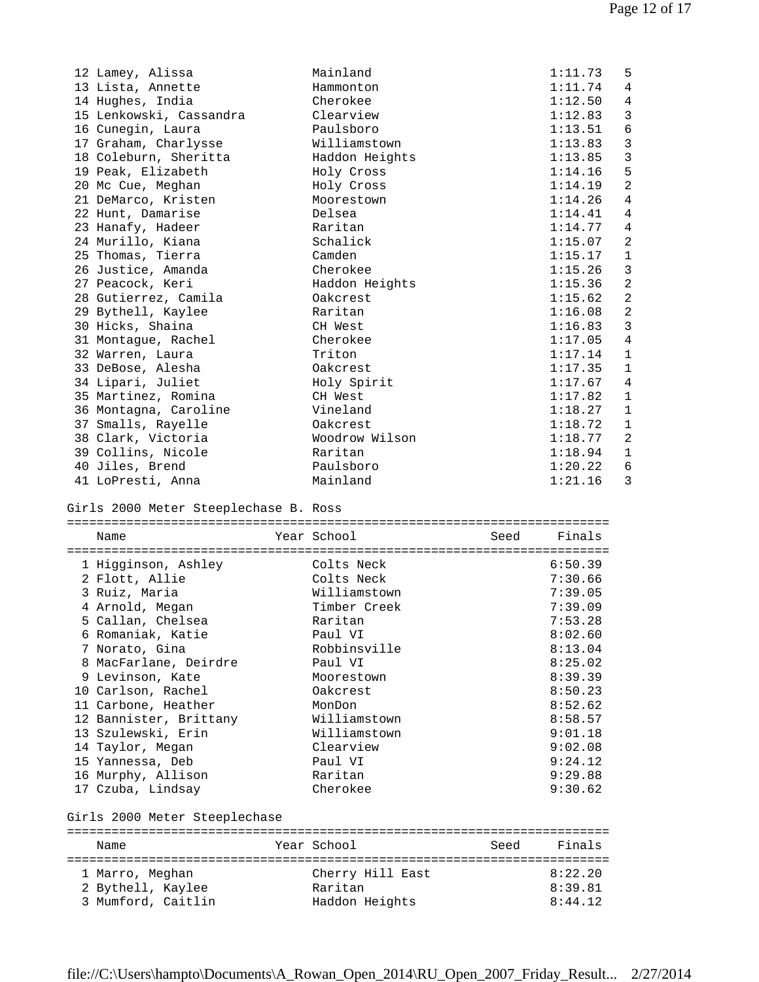| 12 Lamey, Alissa                        | Mainland                  | 1:11.73            | 5              |
|-----------------------------------------|---------------------------|--------------------|----------------|
| 13 Lista, Annette                       | Hammonton                 | 1:11.74            | 4              |
| 14 Hughes, India                        | Cherokee                  | 1:12.50            | 4              |
| 15 Lenkowski, Cassandra                 | Clearview                 | 1:12.83            | 3              |
| 16 Cunegin, Laura                       | Paulsboro                 | 1:13.51            | $\epsilon$     |
| 17 Graham, Charlysse                    | Williamstown              | 1:13.83            | $\mathbf{3}$   |
| 18 Coleburn, Sheritta                   | Haddon Heights            | 1:13.85            | $\mathbf{3}$   |
| 19 Peak, Elizabeth                      | Holy Cross                | 1:14.16            | 5              |
| 20 Mc Cue, Meghan                       | Holy Cross                | 1:14.19            | $\overline{a}$ |
| 21 DeMarco, Kristen                     | Moorestown                | 1:14.26            | 4              |
| 22 Hunt, Damarise                       | Delsea                    | 1:14.41            | 4              |
| 23 Hanafy, Hadeer                       | Raritan                   | 1:14.77            | 4              |
| 24 Murillo, Kiana                       | Schalick                  | 1:15.07            | $\overline{c}$ |
| 25 Thomas, Tierra                       | Camden                    | 1:15.17            | $\mathbf 1$    |
| 26 Justice, Amanda                      | Cherokee                  | 1:15.26            | $\mathbf{3}$   |
| 27 Peacock, Keri                        | Haddon Heights            | 1:15.36            | $\sqrt{2}$     |
| 28 Gutierrez, Camila                    | Oakcrest                  | 1:15.62            | $\sqrt{2}$     |
| 29 Bythell, Kaylee                      | Raritan                   | 1:16.08            | $\overline{a}$ |
|                                         |                           |                    | 3              |
| 30 Hicks, Shaina                        | CH West                   | 1:16.83            |                |
| 31 Montague, Rachel                     | Cherokee                  | 1:17.05            | 4              |
| 32 Warren, Laura                        | Triton                    | 1:17.14            | $\mathbf{1}$   |
| 33 DeBose, Alesha                       | Oakcrest                  | 1:17.35            | 1              |
| 34 Lipari, Juliet                       | Holy Spirit               | 1:17.67            | $\overline{4}$ |
| 35 Martinez, Romina                     | CH West                   | 1:17.82            | $\mathbf{1}$   |
| 36 Montagna, Caroline                   | Vineland                  | 1:18.27            | $\mathbf{1}$   |
| 37 Smalls, Rayelle                      | Oakcrest                  | 1:18.72            | $\mathbf 1$    |
| 38 Clark, Victoria                      | Woodrow Wilson            | 1:18.77            | $\overline{c}$ |
| 39 Collins, Nicole                      | Raritan                   | 1:18.94            | $\mathbf 1$    |
| 40 Jiles, Brend                         | Paulsboro                 | 1:20.22            | 6              |
| 41 LoPresti, Anna                       | Mainland                  | 1:21.16            | 3              |
|                                         |                           |                    |                |
| Girls 2000 Meter Steeplechase B. Ross   |                           |                    |                |
| Name                                    | Year School<br>Seed       | Finals             |                |
|                                         |                           |                    |                |
| 1 Higginson, Ashley                     | Colts Neck                | 6:50.39            |                |
| 2 Flott, Allie                          | Colts Neck                | 7:30.66            |                |
| 3 Ruiz, Maria                           | Williamstown              | 7:39.05            |                |
| 4 Arnold, Megan                         | Timber Creek              | 7:39.09            |                |
| 5 Callan, Chelsea                       | Raritan                   | 7:53.28            |                |
| 6 Romaniak, Katie                       | Paul VI                   | 8:02.60            |                |
| 7 Norato, Gina                          | Robbinsville              | 8:13.04            |                |
| 8 MacFarlane, Deirdre                   | Paul VI                   | 8:25.02            |                |
| 9 Levinson, Kate                        | Moorestown                | 8:39.39            |                |
| 10 Carlson, Rachel                      | Oakcrest                  | 8:50.23            |                |
| 11 Carbone, Heather                     | MonDon                    | 8:52.62            |                |
| 12 Bannister, Brittany                  | Williamstown              | 8:58.57            |                |
| 13 Szulewski, Erin                      | Williamstown              | 9:01.18            |                |
| 14 Taylor, Megan                        | Clearview                 | 9:02.08            |                |
| 15 Yannessa, Deb                        | Paul VI                   | 9:24.12            |                |
| 16 Murphy, Allison                      | Raritan                   | 9:29.88            |                |
| 17 Czuba, Lindsay                       | Cherokee                  | 9:30.62            |                |
| Girls 2000 Meter Steeplechase           |                           |                    |                |
|                                         |                           |                    |                |
| Name                                    | Year School<br>Seed       | Finals             |                |
|                                         |                           |                    |                |
| 1 Marro, Meghan                         | Cherry Hill East          | 8:22.20            |                |
| 2 Bythell, Kaylee<br>3 Mumford, Caitlin | Raritan<br>Haddon Heights | 8:39.81<br>8:44.12 |                |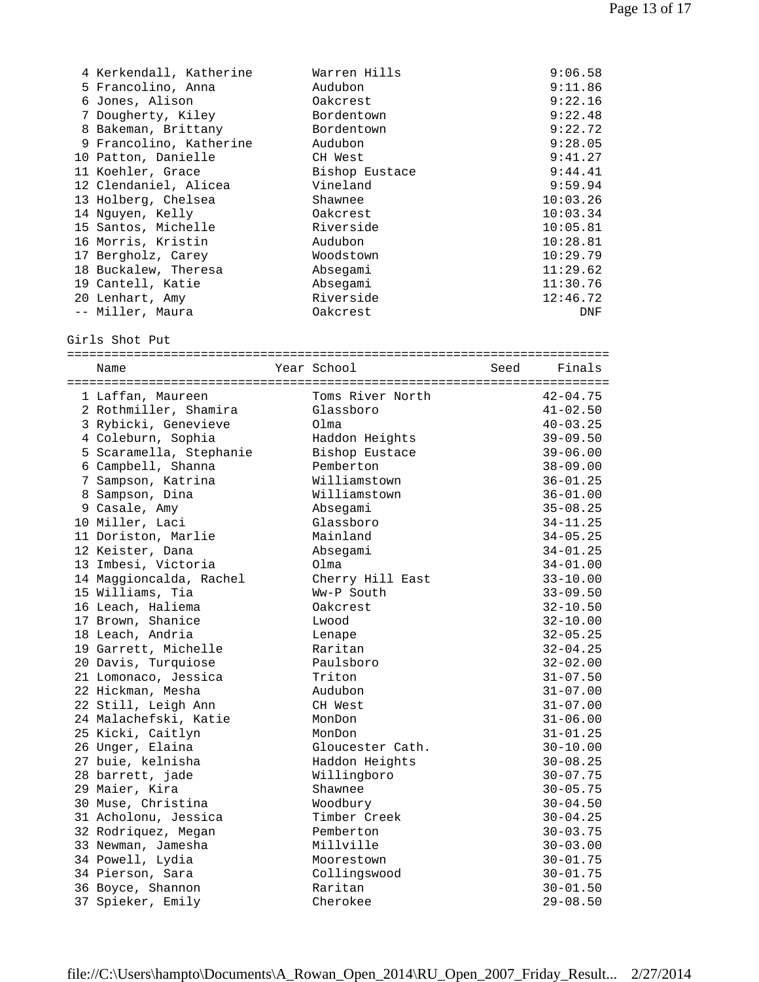| 4 Kerkendall, Katherine | Warren Hills   | 9:06.58  |
|-------------------------|----------------|----------|
| 5 Francolino, Anna      | Audubon        | 9:11.86  |
| 6 Jones, Alison         | Oakcrest       | 9:22.16  |
| 7 Dougherty, Kiley      | Bordentown     | 9:22.48  |
| 8 Bakeman, Brittany     | Bordentown     | 9:22.72  |
| 9 Francolino, Katherine | Audubon        | 9:28.05  |
| 10 Patton, Danielle     | CH West        | 9:41.27  |
| 11 Koehler, Grace       | Bishop Eustace | 9:44.41  |
| 12 Clendaniel, Alicea   | Vineland       | 9:59.94  |
| 13 Holberg, Chelsea     | Shawnee        | 10:03.26 |
| 14 Nguyen, Kelly        | Oakcrest       | 10:03.34 |
| 15 Santos, Michelle     | Riverside      | 10:05.81 |
| 16 Morris, Kristin      | Audubon        | 10:28.81 |
| 17 Bergholz, Carey      | Woodstown      | 10:29.79 |
| 18 Buckalew, Theresa    | Absegami       | 11:29.62 |
| 19 Cantell, Katie       | Absegami       | 11:30.76 |
| 20 Lenhart, Amy         | Riverside      | 12:46.72 |
| -- Miller, Maura        | Oakcrest       | DNF      |

Girls Shot Put

| Name                    | Year School      | Seed Finals  |
|-------------------------|------------------|--------------|
|                         |                  |              |
| 1 Laffan, Maureen       | Toms River North | $42 - 04.75$ |
| 2 Rothmiller, Shamira   | Glassboro        | $41 - 02.50$ |
| 3 Rybicki, Genevieve    | Olma             | $40 - 03.25$ |
| 4 Coleburn, Sophia      | Haddon Heights   | $39 - 09.50$ |
| 5 Scaramella, Stephanie | Bishop Eustace   | $39 - 06.00$ |
| 6 Campbell, Shanna      | Pemberton        | $38 - 09.00$ |
| 7 Sampson, Katrina      | Williamstown     | $36 - 01.25$ |
| 8 Sampson, Dina         | Williamstown     | $36 - 01.00$ |
| 9 Casale, Amy           | Absegami         | $35 - 08.25$ |
| 10 Miller, Laci         | Glassboro        | 34-11.25     |
| 11 Doriston, Marlie     | Mainland         | $34 - 05.25$ |
| 12 Keister, Dana        | Absegami         | $34 - 01.25$ |
| 13 Imbesi, Victoria     | Olma             | $34 - 01.00$ |
| 14 Maggioncalda, Rachel | Cherry Hill East | $33 - 10.00$ |
| 15 Williams, Tia        | Ww-P South       | $33 - 09.50$ |
| 16 Leach, Haliema       | Oakcrest         | $32 - 10.50$ |
| 17 Brown, Shanice       | Lwood            | $32 - 10.00$ |
| 18 Leach, Andria        | Lenape           | $32 - 05.25$ |
| 19 Garrett, Michelle    | Raritan          | $32 - 04.25$ |
| 20 Davis, Turquiose     | Paulsboro        | $32 - 02.00$ |
| 21 Lomonaco, Jessica    | Triton           | $31 - 07.50$ |
| 22 Hickman, Mesha       | Audubon          | $31 - 07.00$ |
| 22 Still, Leigh Ann     | CH West          | $31 - 07.00$ |
| 24 Malachefski, Katie   | MonDon           | $31 - 06.00$ |
| 25 Kicki, Caitlyn       | MonDon           | $31 - 01.25$ |
| 26 Unger, Elaina        | Gloucester Cath. | $30 - 10.00$ |
| 27 buie, kelnisha       | Haddon Heights   | $30 - 08.25$ |
| 28 barrett, jade        | Willingboro      | $30 - 07.75$ |
| 29 Maier, Kira          | Shawnee          | $30 - 05.75$ |
| 30 Muse, Christina      | Woodbury         | $30 - 04.50$ |
| 31 Acholonu, Jessica    | Timber Creek     | $30 - 04.25$ |
| 32 Rodriquez, Megan     | Pemberton        | $30 - 03.75$ |
| 33 Newman, Jamesha      | Millville        | $30 - 03.00$ |
| 34 Powell, Lydia        | Moorestown       | $30 - 01.75$ |
| 34 Pierson, Sara        | Collingswood     | $30 - 01.75$ |
| 36 Boyce, Shannon       | Raritan          | $30 - 01.50$ |
| 37 Spieker, Emily       | Cherokee         | $29 - 08.50$ |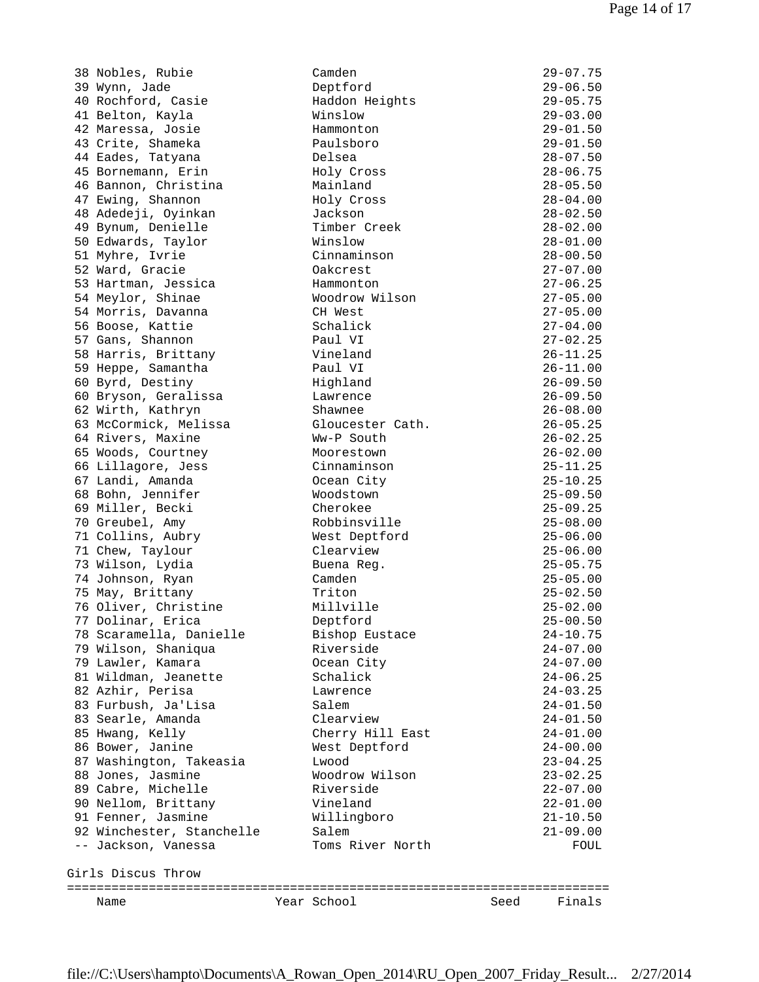38 Nobles, Rubie Camden 29-07.75 39 Wynn, Jade Deptford 29-06.50 40 Rochford, Casie Haddon Heights 29-05.75 41 Belton, Kayla Winslow 29-03.00 42 Maressa, Josie Hammonton 29-01.50 43 Crite, Shameka Paulsboro 29-01.50 44 Eades, Tatyana Delsea 28-07.50 45 Bornemann, Erin Holy Cross 28-06.75 46 Bannon, Christina Mainland 28-05.50 47 Ewing, Shannon Holy Cross 28-04.00 48 Adedeji, Oyinkan Jackson 28-02.50 49 Bynum, Denielle Timber Creek 28-02.00 50 Edwards, Taylor Winslow 28-01.00 51 Myhre, Ivrie Cinnaminson 28-00.50 52 Ward, Gracie Oakcrest 27-07.00 53 Hartman, Jessica Hammonton 27-06.25 54 Meylor, Shinae Woodrow Wilson 27-05.00 54 Morris, Davanna CH West 27-05.00 56 Boose, Kattie Schalick 27-04.00 57 Gans, Shannon Paul VI 27-02.25 58 Harris, Brittany Vineland 26-11.25 59 Heppe, Samantha Paul VI 26-11.00 60 Byrd, Destiny Highland 26-09.50 60 Bryson, Geralissa Lawrence 26-09.50 62 Wirth, Kathryn Shawnee 26-08.00 63 McCormick, Melissa Gloucester Cath. 26-05.25 64 Rivers, Maxine Ww-P South 26-02.25 65 Woods, Courtney Moorestown 26-02.00 66 Lillagore, Jess Cinnaminson 25-11.25 67 Landi, Amanda Ocean City 25-10.25 68 Bohn, Jennifer Woodstown 25-09.50 69 Miller, Becki Cherokee 25-09.25 70 Greubel, Amy Robbinsville 25-08.00 71 Collins, Aubry West Deptford 25-06.00 71 Chew, Taylour Clearview 25-06.00 73 Wilson, Lydia Buena Reg. 25-05.75 74 Johnson, Ryan Camden 25-05.00 75 May, Brittany Triton 25-02.50 76 Oliver, Christine Millville 25-02.00 77 Dolinar, Erica Deptford 25-00.50 78 Scaramella, Danielle Bishop Eustace 24-10.75 79 Wilson, Shaniqua Riverside 24-07.00 79 Lawler, Kamara Ocean City 24-07.00 81 Wildman, Jeanette Schalick 24-06.25 82 Azhir, Perisa Lawrence 24-03.25 83 Furbush, Ja'Lisa Salem 24-01.50 83 Searle, Amanda Clearview 24-01.50 85 Hwang, Kelly Cherry Hill East 24-01.00 86 Bower, Janine West Deptford 24-00.00 87 Washington, Takeasia Lwood 23-04.25 88 Jones, Jasmine Woodrow Wilson 23-02.25 89 Cabre, Michelle Riverside 22-07.00 90 Nellom, Brittany Vineland 22-01.00 91 Fenner, Jasmine Willingboro 21-10.50 92 Winchester, Stanchelle Salem 21-09.00 -- Jackson, Vanessa Toms River North FOUL Girls Discus Throw

| 32 MINCHESCEL, SCRIICHEILE | ⊃a⊥e…            |      | 41-09.00 |
|----------------------------|------------------|------|----------|
| -- Jackson, Vanessa        | Toms River North |      | FOUL     |
|                            |                  |      |          |
|                            |                  |      |          |
| Girls Discus Throw         |                  |      |          |
|                            |                  |      |          |
|                            |                  |      |          |
| Name                       | Year School      | Seed | Finals   |
|                            |                  |      |          |
|                            |                  |      |          |
|                            |                  |      |          |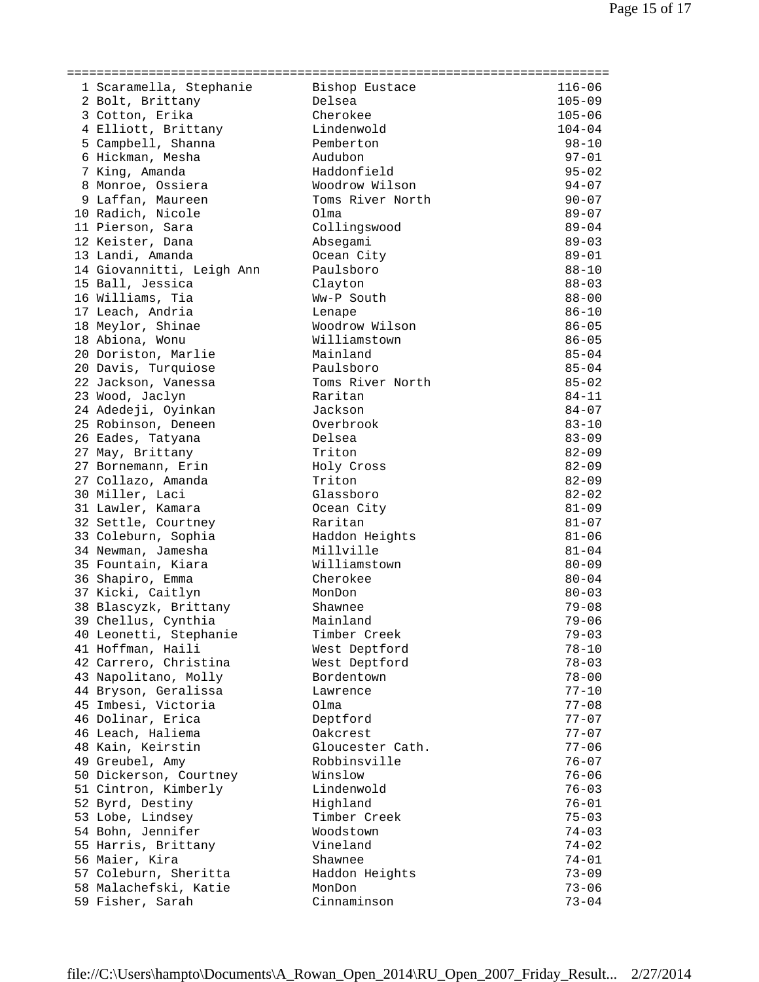| 1 Scaramella, Stephanie   | Bishop Eustace        | $116 - 06$ |
|---------------------------|-----------------------|------------|
| 2 Bolt, Brittany          | Delsea                | $105 - 09$ |
| 3 Cotton, Erika           | Cherokee              | $105 - 06$ |
| 4 Elliott, Brittany       | Lindenwold            | $104 - 04$ |
| 5 Campbell, Shanna        | Pemberton             | $98 - 10$  |
| 6 Hickman, Mesha          | Audubon               | $97 - 01$  |
| 7 King, Amanda            | Haddonfield           | $95 - 02$  |
| 8 Monroe, Ossiera         | Woodrow Wilson        | $94 - 07$  |
| 9 Laffan, Maureen         | Toms River North      | $90 - 07$  |
| 10 Radich, Nicole         | Olma                  | $89 - 07$  |
| 11 Pierson, Sara          | Collingswood          | $89 - 04$  |
| 12 Keister, Dana          | Absegami              | $89 - 03$  |
| 13 Landi, Amanda          | Ocean City            | $89 - 01$  |
| 14 Giovannitti, Leigh Ann | Paulsboro             | $88 - 10$  |
|                           |                       | $88 - 03$  |
| 15 Ball, Jessica          | Clayton<br>Ww-P South |            |
| 16 Williams, Tia          |                       | $88 - 00$  |
| 17 Leach, Andria          | Lenape                | $86 - 10$  |
| 18 Meylor, Shinae         | Woodrow Wilson        | $86 - 05$  |
| 18 Abiona, Wonu           | Williamstown          | $86 - 05$  |
| 20 Doriston, Marlie       | Mainland              | $85 - 04$  |
| 20 Davis, Turquiose       | Paulsboro             | $85 - 04$  |
| 22 Jackson, Vanessa       | Toms River North      | $85 - 02$  |
| 23 Wood, Jaclyn           | Raritan               | $84 - 11$  |
| 24 Adedeji, Oyinkan       | Jackson               | $84 - 07$  |
| 25 Robinson, Deneen       | Overbrook             | $83 - 10$  |
| 26 Eades, Tatyana         | Delsea                | $83 - 09$  |
| 27 May, Brittany          | Triton                | $82 - 09$  |
| 27 Bornemann, Erin        | Holy Cross            | $82 - 09$  |
| 27 Collazo, Amanda        | Triton                | $82 - 09$  |
| 30 Miller, Laci           | Glassboro             | $82 - 02$  |
| 31 Lawler, Kamara         | Ocean City            | $81 - 09$  |
| 32 Settle, Courtney       | Raritan               | $81 - 07$  |
| 33 Coleburn, Sophia       | Haddon Heights        | $81 - 06$  |
| 34 Newman, Jamesha        | Millville             | $81 - 04$  |
| 35 Fountain, Kiara        | Williamstown          | $80 - 09$  |
| 36 Shapiro, Emma          | Cherokee              | $80 - 04$  |
| 37 Kicki, Caitlyn         | MonDon                | $80 - 03$  |
| 38 Blascyzk, Brittany     | Shawnee               | $79 - 08$  |
| 39 Chellus, Cynthia       | Mainland              | $79 - 06$  |
| 40 Leonetti, Stephanie    | Timber Creek          | $79 - 03$  |
| 41 Hoffman, Haili         | West Deptford         | $78 - 10$  |
| 42 Carrero, Christina     | West Deptford         | $78 - 03$  |
| 43 Napolitano, Molly      | Bordentown            | $78 - 00$  |
| 44 Bryson, Geralissa      | Lawrence              | $77 - 10$  |
| 45 Imbesi, Victoria       | Olma                  | $77 - 08$  |
| 46 Dolinar, Erica         | Deptford              | $77 - 07$  |
| 46 Leach, Haliema         | Oakcrest              | $77 - 07$  |
| 48 Kain, Keirstin         | Gloucester Cath.      | $77 - 06$  |
| 49 Greubel, Amy           | Robbinsville          | $76 - 07$  |
| 50 Dickerson, Courtney    | Winslow               | $76 - 06$  |
| 51 Cintron, Kimberly      | Lindenwold            | $76 - 03$  |
| 52 Byrd, Destiny          | Highland              | $76 - 01$  |
| 53 Lobe, Lindsey          | Timber Creek          | $75 - 03$  |
| 54 Bohn, Jennifer         | Woodstown             | $74 - 03$  |
| 55 Harris, Brittany       | Vineland              | $74 - 02$  |
| 56 Maier, Kira            | Shawnee               | 74-01      |
| 57 Coleburn, Sheritta     | Haddon Heights        | $73 - 09$  |
| 58 Malachefski, Katie     | MonDon                | $73 - 06$  |
| 59 Fisher, Sarah          | Cinnaminson           | $73 - 04$  |
|                           |                       |            |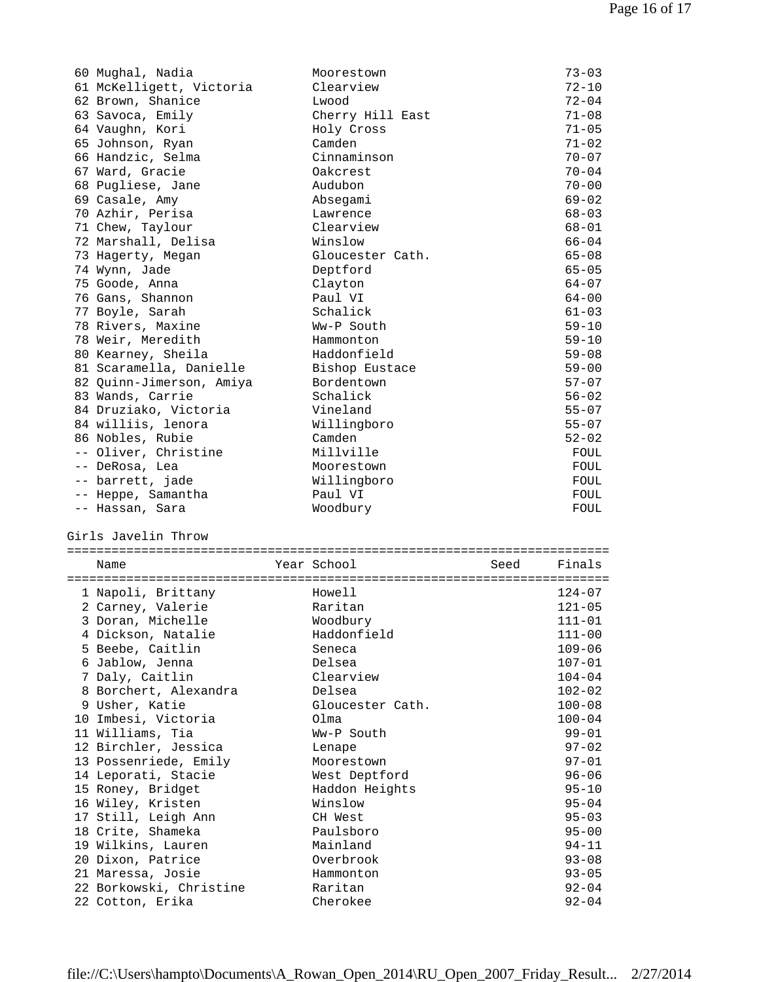| 60 Mughal, Nadia                            | Moorestown          |      | $73 - 03$              |
|---------------------------------------------|---------------------|------|------------------------|
| 61 McKelligett, Victoria                    | Clearview           |      | $72 - 10$              |
| 62 Brown, Shanice                           | Lwood               |      | $72 - 04$              |
| 63 Savoca, Emily                            | Cherry Hill East    |      | $71 - 08$              |
| 64 Vaughn, Kori                             | Holy Cross          |      | $71 - 05$              |
| 65 Johnson, Ryan                            | Camden              |      | $71 - 02$              |
| 66 Handzic, Selma                           | Cinnaminson         |      | $70 - 07$              |
| 67 Ward, Gracie                             | Oakcrest            |      | $70 - 04$              |
| 68 Pugliese, Jane                           | Audubon             |      | $70 - 00$              |
| 69 Casale, Amy                              | Absegami            |      | $69 - 02$              |
| 70 Azhir, Perisa                            | Lawrence            |      | $68 - 03$              |
| 71 Chew, Taylour                            | Clearview           |      | $68 - 01$              |
|                                             |                     |      |                        |
| 72 Marshall, Delisa                         | Winslow             |      | $66 - 04$              |
| 73 Hagerty, Megan                           | Gloucester Cath.    |      | $65 - 08$              |
| 74 Wynn, Jade                               | Deptford            |      | $65 - 05$              |
| 75 Goode, Anna                              | Clayton             |      | $64 - 07$              |
| 76 Gans, Shannon                            | Paul VI             |      | $64 - 00$              |
| 77 Boyle, Sarah                             | Schalick            |      | $61 - 03$              |
| 78 Rivers, Maxine                           | Ww-P South          |      | $59 - 10$              |
| 78 Weir, Meredith                           | Hammonton           |      | $59 - 10$              |
| 80 Kearney, Sheila                          | Haddonfield         |      | $59 - 08$              |
| 81 Scaramella, Danielle                     | Bishop Eustace      |      | $59 - 00$              |
| 82 Quinn-Jimerson, Amiya                    | Bordentown          |      | $57 - 07$              |
| 83 Wands, Carrie                            | Schalick            |      | $56 - 02$              |
| 84 Druziako, Victoria                       | Vineland            |      | $55 - 07$              |
| 84 williis, lenora                          | Willingboro         |      | $55 - 07$              |
| 86 Nobles, Rubie                            | Camden              |      | $52 - 02$              |
| -- Oliver, Christine                        | Millville           |      | FOUL                   |
| -- DeRosa, Lea                              | Moorestown          |      | FOUL                   |
| -- barrett, jade                            | Willingboro         |      | FOUL                   |
|                                             |                     |      |                        |
|                                             |                     |      |                        |
| -- Heppe, Samantha                          | Paul VI             |      | FOUL                   |
| -- Hassan, Sara                             | Woodbury            |      | FOUL                   |
|                                             |                     |      |                        |
| Girls Javelin Throw                         |                     |      |                        |
|                                             |                     |      |                        |
| Name                                        | Year School         | Seed | Finals                 |
|                                             |                     |      |                        |
| 1 Napoli, Brittany                          | Howell              |      | $124 - 07$             |
| 2 Carney, Valerie                           | Raritan             |      | $121 - 05$             |
| 3 Doran, Michelle                           | Woodbury            |      | $111 - 01$             |
| 4 Dickson, Natalie                          | Haddonfield         |      | $111 - 00$             |
| 5 Beebe, Caitlin                            | Seneca              |      | $109 - 06$             |
| 6 Jablow, Jenna                             | Delsea              |      | $107 - 01$             |
| 7 Daly, Caitlin                             | Clearview           |      | $104 - 04$             |
|                                             | Delsea              |      | $102 - 02$             |
| 8 Borchert, Alexandra<br>9 Usher, Katie     | Gloucester Cath.    |      | $100 - 08$             |
|                                             | Olma                |      |                        |
| 10 Imbesi, Victoria                         |                     |      | $100 - 04$             |
| 11 Williams, Tia                            | Ww-P South          |      | $99 - 01$              |
| 12 Birchler, Jessica                        | Lenape              |      | $97 - 02$              |
| 13 Possenriede, Emily                       | Moorestown          |      | $97 - 01$              |
| 14 Leporati, Stacie                         | West Deptford       |      | $96 - 06$              |
| 15 Roney, Bridget                           | Haddon Heights      |      | $95 - 10$              |
| 16 Wiley, Kristen                           | Winslow             |      | $95 - 04$              |
| 17 Still, Leigh Ann                         | CH West             |      | $95 - 03$              |
| 18 Crite, Shameka                           | Paulsboro           |      | $95 - 00$              |
| 19 Wilkins, Lauren                          | Mainland            |      | $94 - 11$              |
| 20 Dixon, Patrice                           | Overbrook           |      | $93 - 08$              |
| 21 Maressa, Josie                           | Hammonton           |      | $93 - 05$              |
| 22 Borkowski, Christine<br>22 Cotton, Erika | Raritan<br>Cherokee |      | $92 - 04$<br>$92 - 04$ |